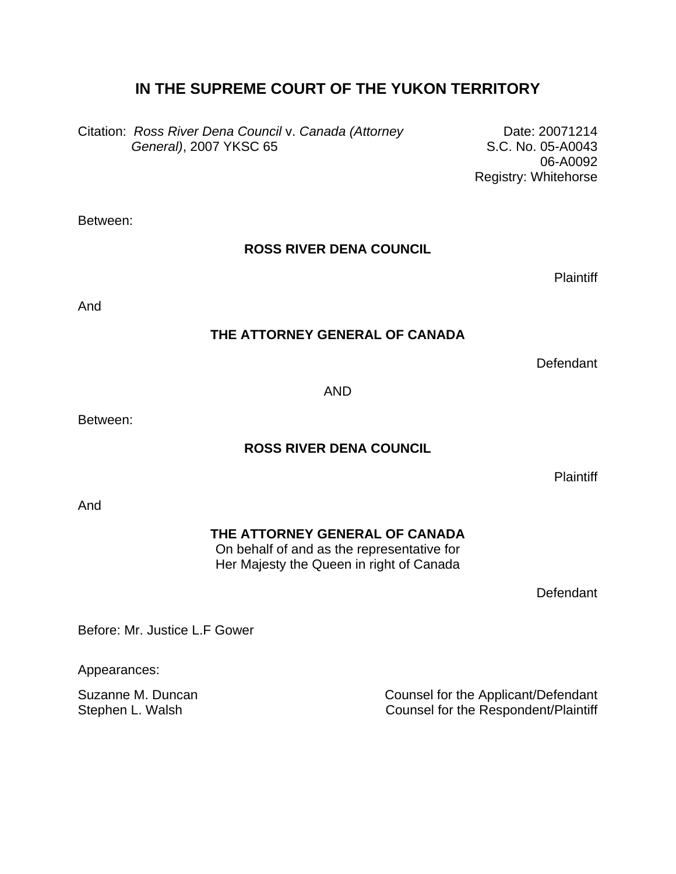## **IN THE SUPREME COURT OF THE YUKON TERRITORY**

Citation: *Ross River Dena Council* v. *Canada (Attorney General)*, 2007 YKSC 65

Date: 20071214 S.C. No. 05-A0043 06-A0092 Registry: Whitehorse

Between:

## **ROSS RIVER DENA COUNCIL**

**Plaintiff** 

And

## **THE ATTORNEY GENERAL OF CANADA**

**Defendant** 

AND

Between:

## **ROSS RIVER DENA COUNCIL**

**Plaintiff** 

And

## **THE ATTORNEY GENERAL OF CANADA**

On behalf of and as the representative for Her Majesty the Queen in right of Canada

**Defendant** 

Before: Mr. Justice L.F Gower

Appearances:

Suzanne M. Duncan **Counsel for the Applicant/Defendant** Stephen L. Walsh Counsel for the Respondent/Plaintiff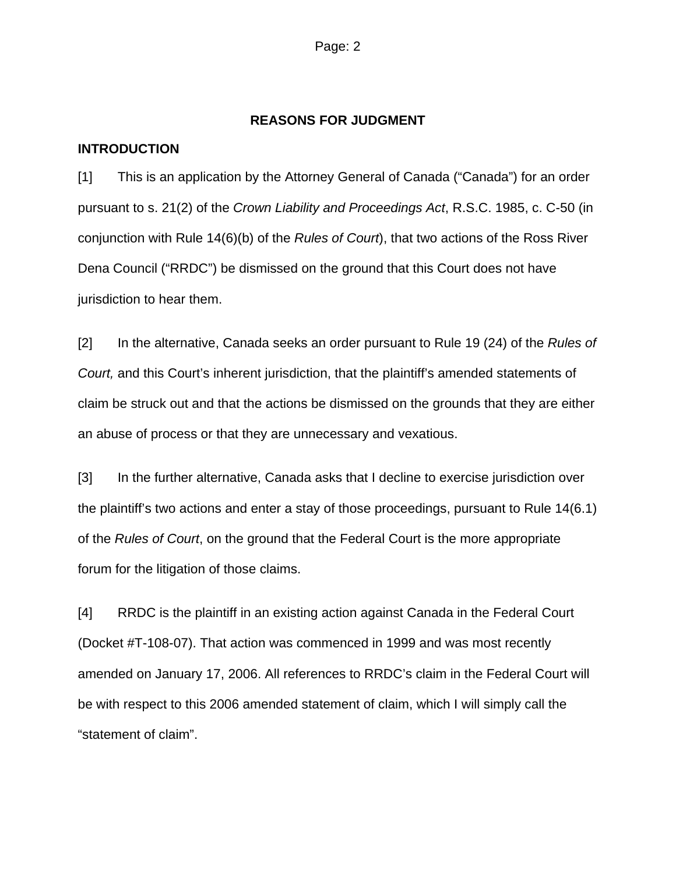#### **REASONS FOR JUDGMENT**

## **INTRODUCTION**

[1] This is an application by the Attorney General of Canada ("Canada") for an order pursuant to s. 21(2) of the *Crown Liability and Proceedings Act*, R.S.C. 1985, c. C-50 (in conjunction with Rule 14(6)(b) of the *Rules of Court*), that two actions of the Ross River Dena Council ("RRDC") be dismissed on the ground that this Court does not have jurisdiction to hear them.

[2] In the alternative, Canada seeks an order pursuant to Rule 19 (24) of the *Rules of Court,* and this Court's inherent jurisdiction, that the plaintiff's amended statements of claim be struck out and that the actions be dismissed on the grounds that they are either an abuse of process or that they are unnecessary and vexatious.

[3] In the further alternative, Canada asks that I decline to exercise jurisdiction over the plaintiff's two actions and enter a stay of those proceedings, pursuant to Rule 14(6.1) of the *Rules of Court*, on the ground that the Federal Court is the more appropriate forum for the litigation of those claims.

[4] RRDC is the plaintiff in an existing action against Canada in the Federal Court (Docket #T-108-07). That action was commenced in 1999 and was most recently amended on January 17, 2006. All references to RRDC's claim in the Federal Court will be with respect to this 2006 amended statement of claim, which I will simply call the "statement of claim".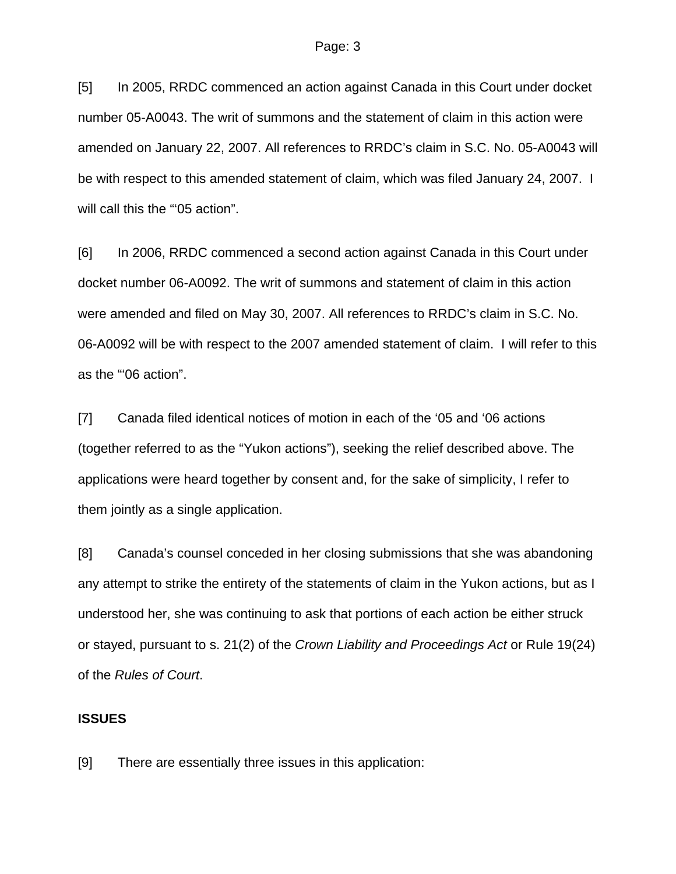[5] In 2005, RRDC commenced an action against Canada in this Court under docket number 05-A0043. The writ of summons and the statement of claim in this action were amended on January 22, 2007. All references to RRDC's claim in S.C. No. 05-A0043 will be with respect to this amended statement of claim, which was filed January 24, 2007. I will call this the "'05 action".

[6] In 2006, RRDC commenced a second action against Canada in this Court under docket number 06-A0092. The writ of summons and statement of claim in this action were amended and filed on May 30, 2007. All references to RRDC's claim in S.C. No. 06-A0092 will be with respect to the 2007 amended statement of claim. I will refer to this as the "'06 action".

[7] Canada filed identical notices of motion in each of the '05 and '06 actions (together referred to as the "Yukon actions"), seeking the relief described above. The applications were heard together by consent and, for the sake of simplicity, I refer to them jointly as a single application.

[8] Canada's counsel conceded in her closing submissions that she was abandoning any attempt to strike the entirety of the statements of claim in the Yukon actions, but as I understood her, she was continuing to ask that portions of each action be either struck or stayed, pursuant to s. 21(2) of the *Crown Liability and Proceedings Act* or Rule 19(24) of the *Rules of Court*.

#### **ISSUES**

[9] There are essentially three issues in this application: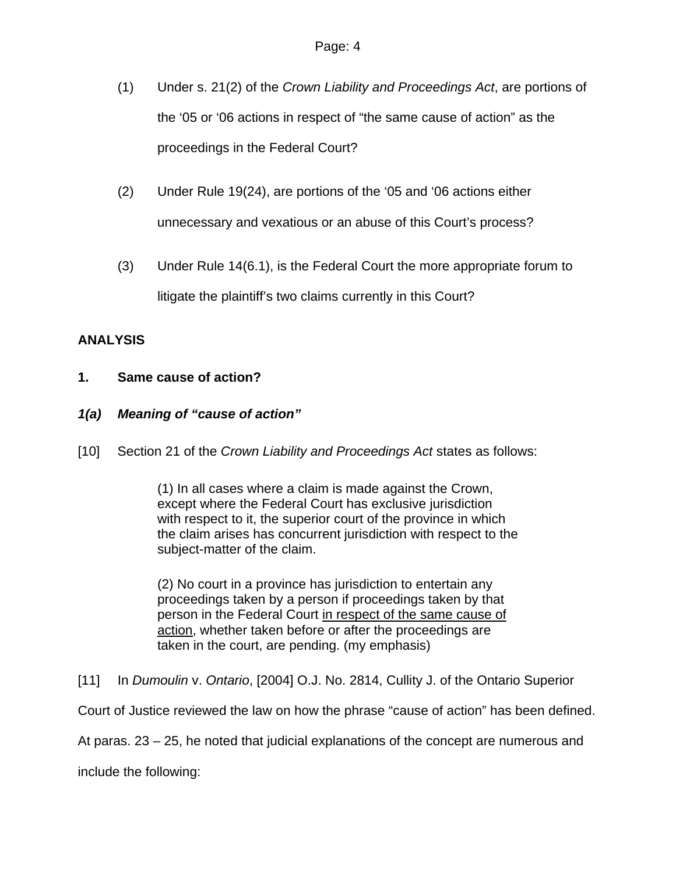- (1) Under s. 21(2) of the *Crown Liability and Proceedings Act*, are portions of the '05 or '06 actions in respect of "the same cause of action" as the proceedings in the Federal Court?
- (2) Under Rule 19(24), are portions of the '05 and '06 actions either unnecessary and vexatious or an abuse of this Court's process?
- (3) Under Rule 14(6.1), is the Federal Court the more appropriate forum to litigate the plaintiff's two claims currently in this Court?

## **ANALYSIS**

## **1. Same cause of action?**

## *1(a) Meaning of "cause of action"*

[10] Section 21 of the *Crown Liability and Proceedings Act* states as follows:

(1) In all cases where a claim is made against the Crown, except where the Federal Court has exclusive jurisdiction with respect to it, the superior court of the province in which the claim arises has concurrent jurisdiction with respect to the subject-matter of the claim.

(2) No court in a province has jurisdiction to entertain any proceedings taken by a person if proceedings taken by that person in the Federal Court in respect of the same cause of action, whether taken before or after the proceedings are taken in the court, are pending. (my emphasis)

[11] In *Dumoulin* v. *Ontario*, [2004] O.J. No. 2814, Cullity J. of the Ontario Superior

Court of Justice reviewed the law on how the phrase "cause of action" has been defined.

At paras. 23 – 25, he noted that judicial explanations of the concept are numerous and

include the following: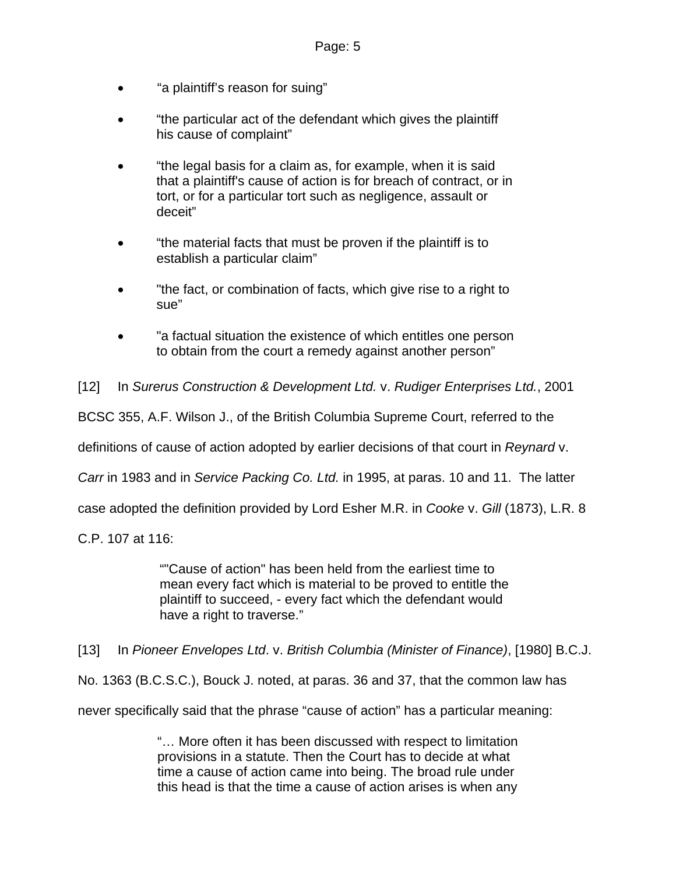- "a plaintiff's reason for suing"
- "the particular act of the defendant which gives the plaintiff his cause of complaint"
- "the legal basis for a claim as, for example, when it is said that a plaintiff's cause of action is for breach of contract, or in tort, or for a particular tort such as negligence, assault or deceit"
- "the material facts that must be proven if the plaintiff is to establish a particular claim"
- "the fact, or combination of facts, which give rise to a right to sue"
- "a factual situation the existence of which entitles one person to obtain from the court a remedy against another person"

[12] In *Surerus Construction & Development Ltd.* v. *Rudiger Enterprises Ltd.*, 2001

BCSC 355, A.F. Wilson J., of the British Columbia Supreme Court, referred to the

definitions of cause of action adopted by earlier decisions of that court in *Reynard* v.

*Carr* in 1983 and in *Service Packing Co. Ltd.* in 1995, at paras. 10 and 11. The latter

case adopted the definition provided by Lord Esher M.R. in *Cooke* v. *Gill* (1873), L.R. 8

C.P. 107 at 116:

""Cause of action" has been held from the earliest time to mean every fact which is material to be proved to entitle the plaintiff to succeed, - every fact which the defendant would have a right to traverse."

[13] In *Pioneer Envelopes Ltd*. v. *British Columbia (Minister of Finance)*, [1980] B.C.J.

No. 1363 (B.C.S.C.), Bouck J. noted, at paras. 36 and 37, that the common law has

never specifically said that the phrase "cause of action" has a particular meaning:

"… More often it has been discussed with respect to limitation provisions in a statute. Then the Court has to decide at what time a cause of action came into being. The broad rule under this head is that the time a cause of action arises is when any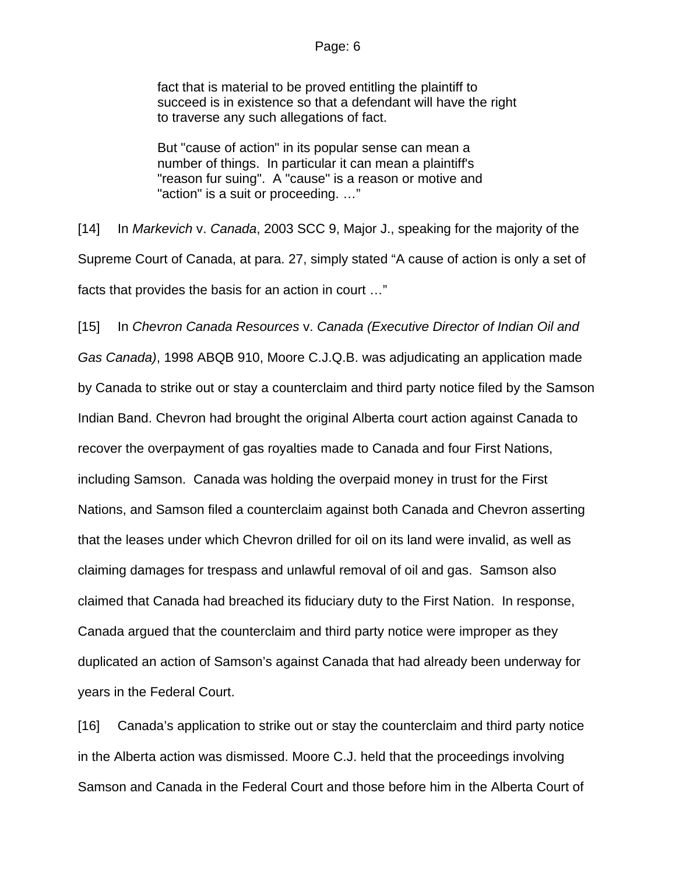fact that is material to be proved entitling the plaintiff to succeed is in existence so that a defendant will have the right to traverse any such allegations of fact.

But "cause of action" in its popular sense can mean a number of things. In particular it can mean a plaintiff's "reason fur suing". A "cause" is a reason or motive and "action" is a suit or proceeding. …"

[14] In *Markevich* v. *Canada*, 2003 SCC 9, Major J., speaking for the majority of the Supreme Court of Canada, at para. 27, simply stated "A cause of action is only a set of facts that provides the basis for an action in court …"

[15] In *Chevron Canada Resources* v. *Canada (Executive Director of Indian Oil and Gas Canada)*, 1998 ABQB 910, Moore C.J.Q.B. was adjudicating an application made by Canada to strike out or stay a counterclaim and third party notice filed by the Samson Indian Band. Chevron had brought the original Alberta court action against Canada to recover the overpayment of gas royalties made to Canada and four First Nations, including Samson. Canada was holding the overpaid money in trust for the First Nations, and Samson filed a counterclaim against both Canada and Chevron asserting that the leases under which Chevron drilled for oil on its land were invalid, as well as claiming damages for trespass and unlawful removal of oil and gas. Samson also claimed that Canada had breached its fiduciary duty to the First Nation. In response, Canada argued that the counterclaim and third party notice were improper as they duplicated an action of Samson's against Canada that had already been underway for years in the Federal Court.

[16] Canada's application to strike out or stay the counterclaim and third party notice in the Alberta action was dismissed. Moore C.J. held that the proceedings involving Samson and Canada in the Federal Court and those before him in the Alberta Court of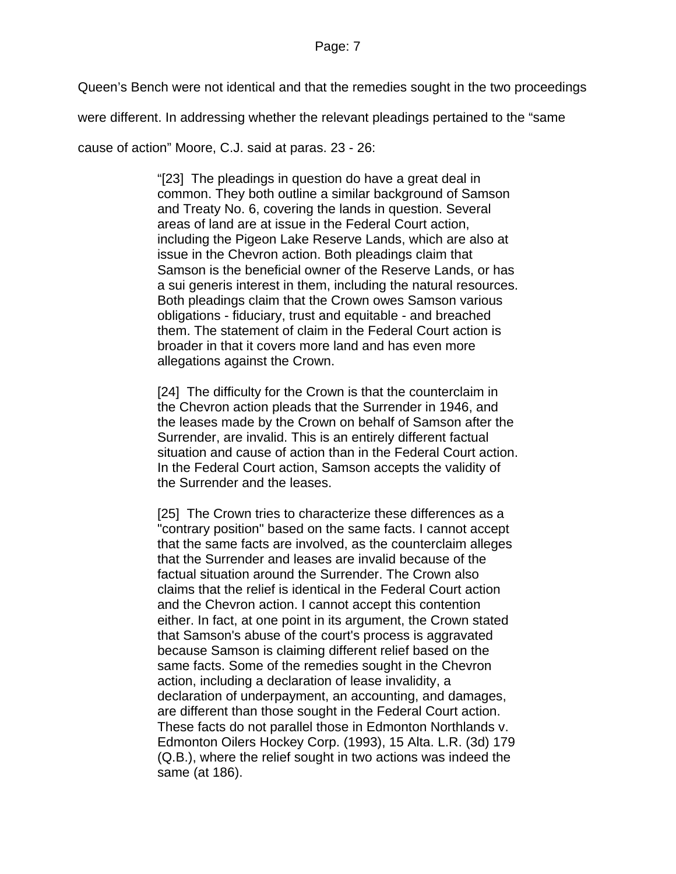Queen's Bench were not identical and that the remedies sought in the two proceedings

were different. In addressing whether the relevant pleadings pertained to the "same

cause of action" Moore, C.J. said at paras. 23 - 26:

"[23] The pleadings in question do have a great deal in common. They both outline a similar background of Samson and Treaty No. 6, covering the lands in question. Several areas of land are at issue in the Federal Court action, including the Pigeon Lake Reserve Lands, which are also at issue in the Chevron action. Both pleadings claim that Samson is the beneficial owner of the Reserve Lands, or has a sui generis interest in them, including the natural resources. Both pleadings claim that the Crown owes Samson various obligations - fiduciary, trust and equitable - and breached them. The statement of claim in the Federal Court action is broader in that it covers more land and has even more allegations against the Crown.

[24] The difficulty for the Crown is that the counterclaim in the Chevron action pleads that the Surrender in 1946, and the leases made by the Crown on behalf of Samson after the Surrender, are invalid. This is an entirely different factual situation and cause of action than in the Federal Court action. In the Federal Court action, Samson accepts the validity of the Surrender and the leases.

[25] The Crown tries to characterize these differences as a "contrary position" based on the same facts. I cannot accept that the same facts are involved, as the counterclaim alleges that the Surrender and leases are invalid because of the factual situation around the Surrender. The Crown also claims that the relief is identical in the Federal Court action and the Chevron action. I cannot accept this contention either. In fact, at one point in its argument, the Crown stated that Samson's abuse of the court's process is aggravated because Samson is claiming different relief based on the same facts. Some of the remedies sought in the Chevron action, including a declaration of lease invalidity, a declaration of underpayment, an accounting, and damages, are different than those sought in the Federal Court action. These facts do not parallel those in Edmonton Northlands v. Edmonton Oilers Hockey Corp. (1993), [15 Alta. L.R. \(3d\) 179](http://ql.quicklaw.com/servlet/qlwbic.qlwbi?qlsid=C2VuYwWfAnBlaexk&qlcid=00002&qlvrb=QL002&UGET=Q0222221,AJRE) (Q.B.), where the relief sought in two actions was indeed the same (at 186).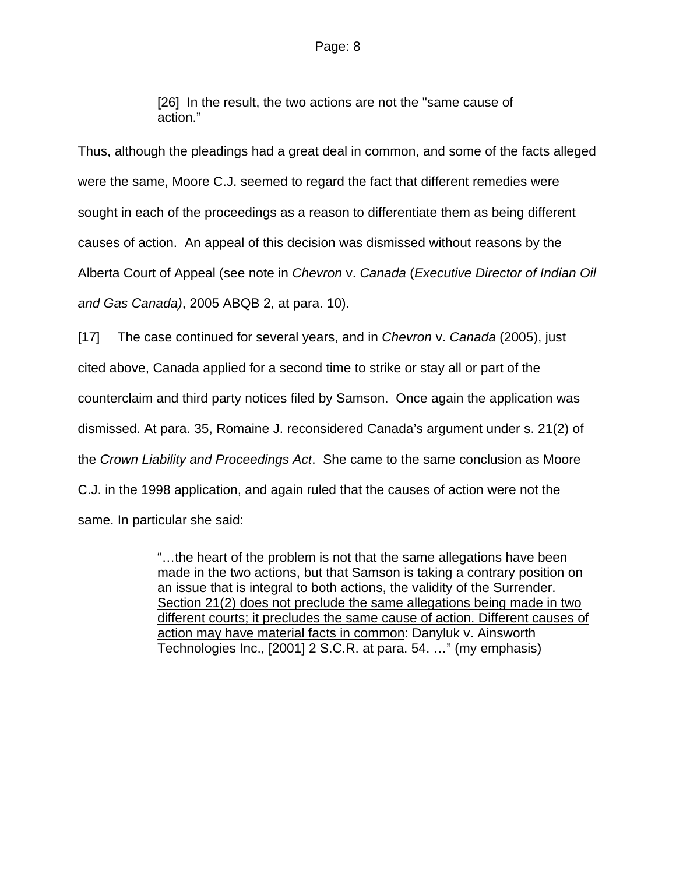[26] In the result, the two actions are not the "same cause of action."

Thus, although the pleadings had a great deal in common, and some of the facts alleged were the same, Moore C.J. seemed to regard the fact that different remedies were sought in each of the proceedings as a reason to differentiate them as being different causes of action. An appeal of this decision was dismissed without reasons by the Alberta Court of Appeal (see note in *Chevron* v. *Canada* (*Executive Director of Indian Oil and Gas Canada)*, 2005 ABQB 2, at para. 10).

[17] The case continued for several years, and in *Chevron* v. *Canada* (2005), just cited above, Canada applied for a second time to strike or stay all or part of the counterclaim and third party notices filed by Samson. Once again the application was dismissed. At para. 35, Romaine J. reconsidered Canada's argument under s. 21(2) of the *Crown Liability and Proceedings Act*. She came to the same conclusion as Moore C.J. in the 1998 application, and again ruled that the causes of action were not the same. In particular she said:

> "…the heart of the problem is not that the same allegations have been made in the two actions, but that Samson is taking a contrary position on an issue that is integral to both actions, the validity of the Surrender. Section 21(2) does not preclude the same allegations being made in two different courts; it precludes the same cause of action. Different causes of action may have material facts in common: Danyluk v. Ainsworth Technologies Inc., [2001] 2 S.C.R. at para. 54. …" (my emphasis)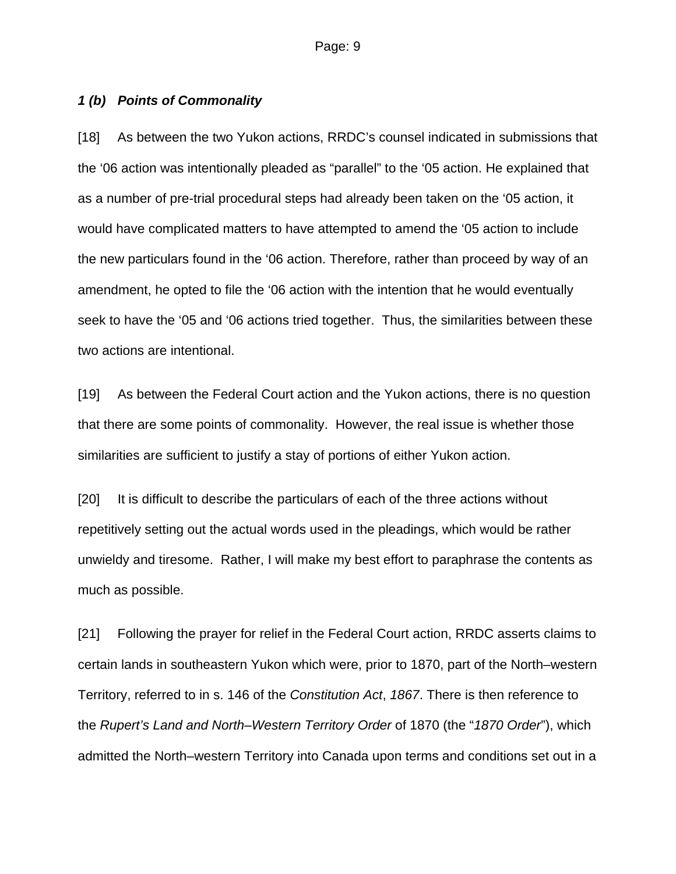## *1 (b) Points of Commonality*

[18] As between the two Yukon actions, RRDC's counsel indicated in submissions that the '06 action was intentionally pleaded as "parallel" to the '05 action. He explained that as a number of pre-trial procedural steps had already been taken on the '05 action, it would have complicated matters to have attempted to amend the '05 action to include the new particulars found in the '06 action. Therefore, rather than proceed by way of an amendment, he opted to file the '06 action with the intention that he would eventually seek to have the '05 and '06 actions tried together. Thus, the similarities between these two actions are intentional.

[19] As between the Federal Court action and the Yukon actions, there is no question that there are some points of commonality. However, the real issue is whether those similarities are sufficient to justify a stay of portions of either Yukon action.

[20] It is difficult to describe the particulars of each of the three actions without repetitively setting out the actual words used in the pleadings, which would be rather unwieldy and tiresome. Rather, I will make my best effort to paraphrase the contents as much as possible.

[21] Following the prayer for relief in the Federal Court action, RRDC asserts claims to certain lands in southeastern Yukon which were, prior to 1870, part of the North–western Territory, referred to in s. 146 of the *Constitution Act*, *1867*. There is then reference to the *Rupert's Land and North–Western Territory Order* of 1870 (the "*1870 Order*"), which admitted the North–western Territory into Canada upon terms and conditions set out in a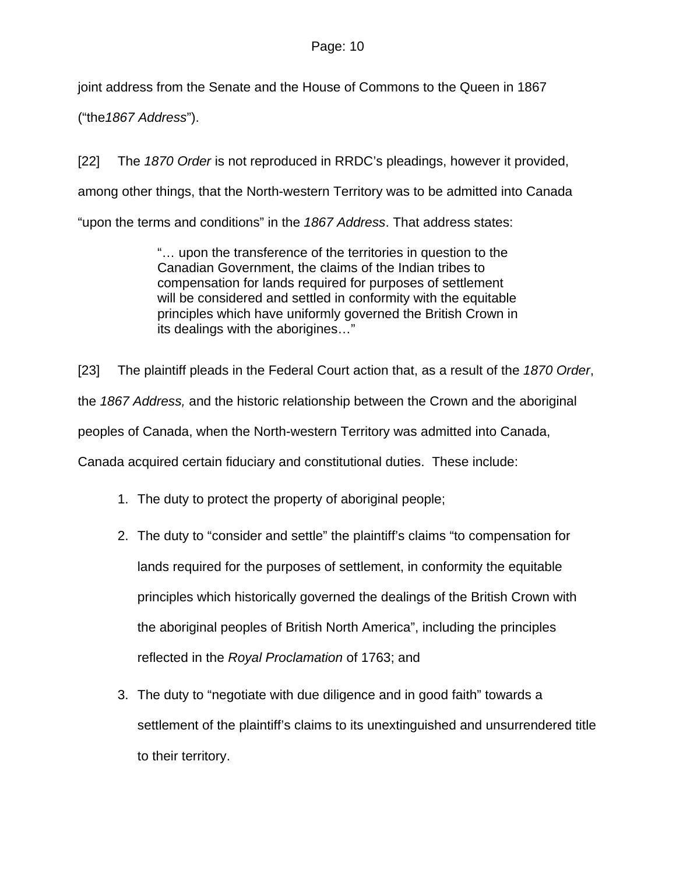## Page: 10

joint address from the Senate and the House of Commons to the Queen in 1867

("the*1867 Address*").

[22] The *1870 Order* is not reproduced in RRDC's pleadings, however it provided, among other things, that the North-western Territory was to be admitted into Canada "upon the terms and conditions" in the *1867 Address*. That address states:

> "… upon the transference of the territories in question to the Canadian Government, the claims of the Indian tribes to compensation for lands required for purposes of settlement will be considered and settled in conformity with the equitable principles which have uniformly governed the British Crown in its dealings with the aborigines…"

[23] The plaintiff pleads in the Federal Court action that, as a result of the *1870 Order*, the *1867 Address,* and the historic relationship between the Crown and the aboriginal peoples of Canada, when the North-western Territory was admitted into Canada, Canada acquired certain fiduciary and constitutional duties. These include:

- 1. The duty to protect the property of aboriginal people;
- 2. The duty to "consider and settle" the plaintiff's claims "to compensation for lands required for the purposes of settlement, in conformity the equitable principles which historically governed the dealings of the British Crown with the aboriginal peoples of British North America", including the principles reflected in the *Royal Proclamation* of 1763; and
- 3. The duty to "negotiate with due diligence and in good faith" towards a settlement of the plaintiff's claims to its unextinguished and unsurrendered title to their territory.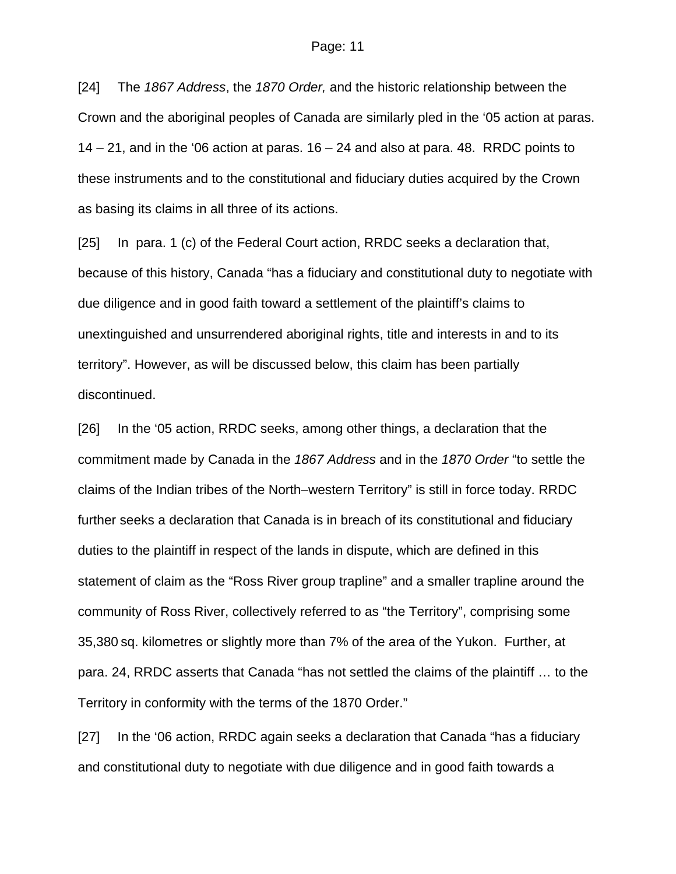#### Page: 11

[24] The *1867 Address*, the *1870 Order,* and the historic relationship between the Crown and the aboriginal peoples of Canada are similarly pled in the '05 action at paras.  $14 - 21$ , and in the '06 action at paras.  $16 - 24$  and also at para. 48. RRDC points to these instruments and to the constitutional and fiduciary duties acquired by the Crown as basing its claims in all three of its actions.

[25] In para. 1 (c) of the Federal Court action, RRDC seeks a declaration that, because of this history, Canada "has a fiduciary and constitutional duty to negotiate with due diligence and in good faith toward a settlement of the plaintiff's claims to unextinguished and unsurrendered aboriginal rights, title and interests in and to its territory". However, as will be discussed below, this claim has been partially discontinued.

[26] In the '05 action, RRDC seeks, among other things, a declaration that the commitment made by Canada in the *1867 Address* and in the *1870 Order* "to settle the claims of the Indian tribes of the North–western Territory" is still in force today. RRDC further seeks a declaration that Canada is in breach of its constitutional and fiduciary duties to the plaintiff in respect of the lands in dispute, which are defined in this statement of claim as the "Ross River group trapline" and a smaller trapline around the community of Ross River, collectively referred to as "the Territory", comprising some 35,380 sq. kilometres or slightly more than 7% of the area of the Yukon. Further, at para. 24, RRDC asserts that Canada "has not settled the claims of the plaintiff … to the Territory in conformity with the terms of the 1870 Order."

[27] In the '06 action, RRDC again seeks a declaration that Canada "has a fiduciary and constitutional duty to negotiate with due diligence and in good faith towards a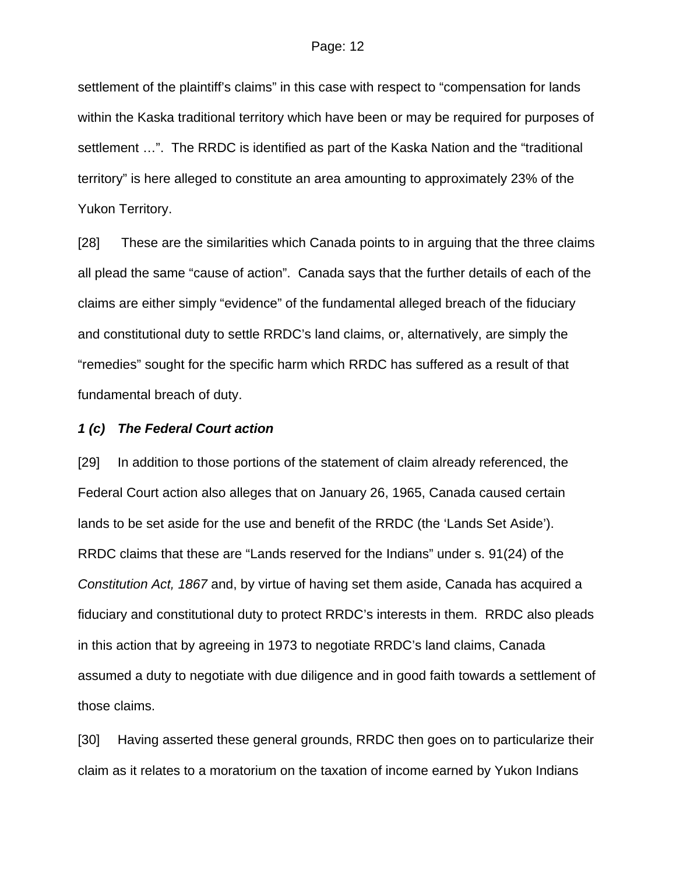settlement of the plaintiff's claims" in this case with respect to "compensation for lands within the Kaska traditional territory which have been or may be required for purposes of settlement …". The RRDC is identified as part of the Kaska Nation and the "traditional territory" is here alleged to constitute an area amounting to approximately 23% of the Yukon Territory.

[28] These are the similarities which Canada points to in arguing that the three claims all plead the same "cause of action". Canada says that the further details of each of the claims are either simply "evidence" of the fundamental alleged breach of the fiduciary and constitutional duty to settle RRDC's land claims, or, alternatively, are simply the "remedies" sought for the specific harm which RRDC has suffered as a result of that fundamental breach of duty.

#### *1 (c) The Federal Court action*

[29] In addition to those portions of the statement of claim already referenced, the Federal Court action also alleges that on January 26, 1965, Canada caused certain lands to be set aside for the use and benefit of the RRDC (the 'Lands Set Aside'). RRDC claims that these are "Lands reserved for the Indians" under s. 91(24) of the *Constitution Act, 1867* and, by virtue of having set them aside, Canada has acquired a fiduciary and constitutional duty to protect RRDC's interests in them. RRDC also pleads in this action that by agreeing in 1973 to negotiate RRDC's land claims, Canada assumed a duty to negotiate with due diligence and in good faith towards a settlement of those claims.

[30] Having asserted these general grounds, RRDC then goes on to particularize their claim as it relates to a moratorium on the taxation of income earned by Yukon Indians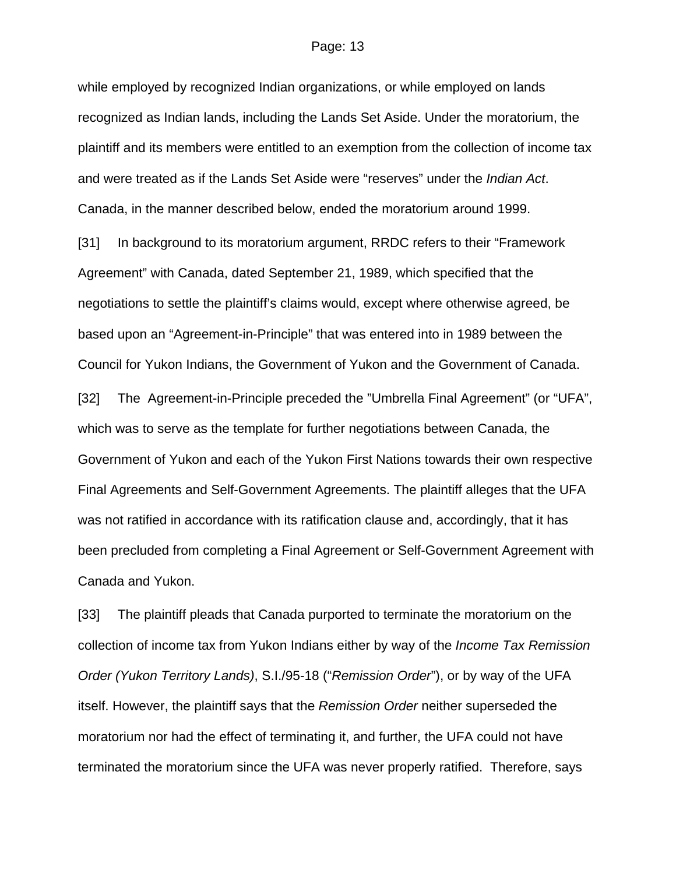#### Page: 13

while employed by recognized Indian organizations, or while employed on lands recognized as Indian lands, including the Lands Set Aside. Under the moratorium, the plaintiff and its members were entitled to an exemption from the collection of income tax and were treated as if the Lands Set Aside were "reserves" under the *Indian Act*. Canada, in the manner described below, ended the moratorium around 1999.

[31] In background to its moratorium argument, RRDC refers to their "Framework" Agreement" with Canada, dated September 21, 1989, which specified that the negotiations to settle the plaintiff's claims would, except where otherwise agreed, be based upon an "Agreement-in-Principle" that was entered into in 1989 between the Council for Yukon Indians, the Government of Yukon and the Government of Canada.

[32] The Agreement-in-Principle preceded the "Umbrella Final Agreement" (or "UFA", which was to serve as the template for further negotiations between Canada, the Government of Yukon and each of the Yukon First Nations towards their own respective Final Agreements and Self-Government Agreements. The plaintiff alleges that the UFA was not ratified in accordance with its ratification clause and, accordingly, that it has been precluded from completing a Final Agreement or Self-Government Agreement with Canada and Yukon.

[33] The plaintiff pleads that Canada purported to terminate the moratorium on the collection of income tax from Yukon Indians either by way of the *Income Tax Remission Order (Yukon Territory Lands)*, S.I./95-18 ("*Remission Order*"), or by way of the UFA itself. However, the plaintiff says that the *Remission Order* neither superseded the moratorium nor had the effect of terminating it, and further, the UFA could not have terminated the moratorium since the UFA was never properly ratified. Therefore, says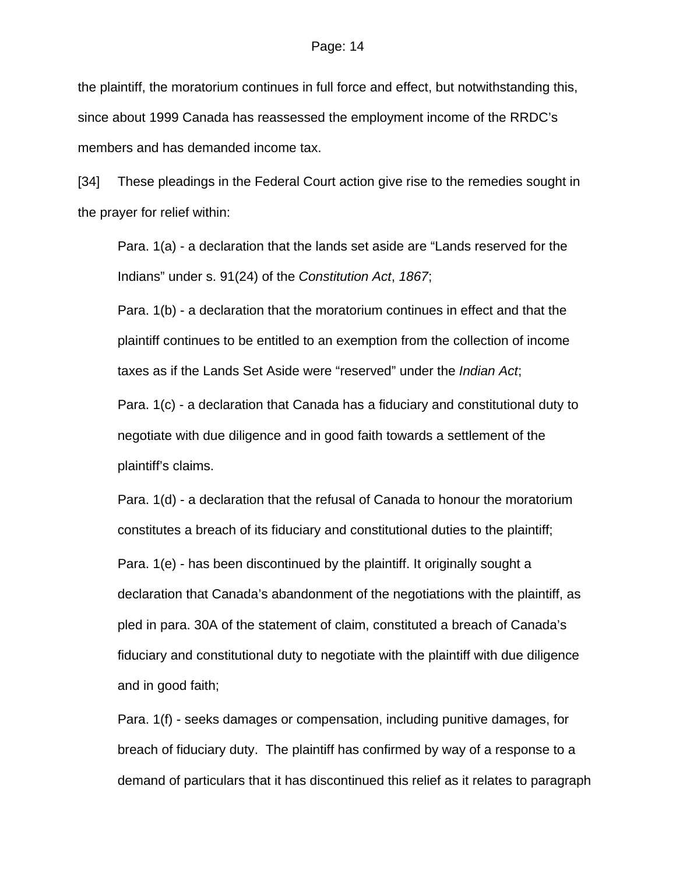the plaintiff, the moratorium continues in full force and effect, but notwithstanding this, since about 1999 Canada has reassessed the employment income of the RRDC's members and has demanded income tax.

[34] These pleadings in the Federal Court action give rise to the remedies sought in the prayer for relief within:

Para. 1(a) - a declaration that the lands set aside are "Lands reserved for the Indians" under s. 91(24) of the *Constitution Act*, *1867*;

Para. 1(b) - a declaration that the moratorium continues in effect and that the plaintiff continues to be entitled to an exemption from the collection of income taxes as if the Lands Set Aside were "reserved" under the *Indian Act*;

Para. 1(c) - a declaration that Canada has a fiduciary and constitutional duty to negotiate with due diligence and in good faith towards a settlement of the plaintiff's claims.

Para. 1(d) - a declaration that the refusal of Canada to honour the moratorium constitutes a breach of its fiduciary and constitutional duties to the plaintiff; Para. 1(e) - has been discontinued by the plaintiff. It originally sought a declaration that Canada's abandonment of the negotiations with the plaintiff, as pled in para. 30A of the statement of claim, constituted a breach of Canada's fiduciary and constitutional duty to negotiate with the plaintiff with due diligence and in good faith;

Para. 1(f) - seeks damages or compensation, including punitive damages, for breach of fiduciary duty. The plaintiff has confirmed by way of a response to a demand of particulars that it has discontinued this relief as it relates to paragraph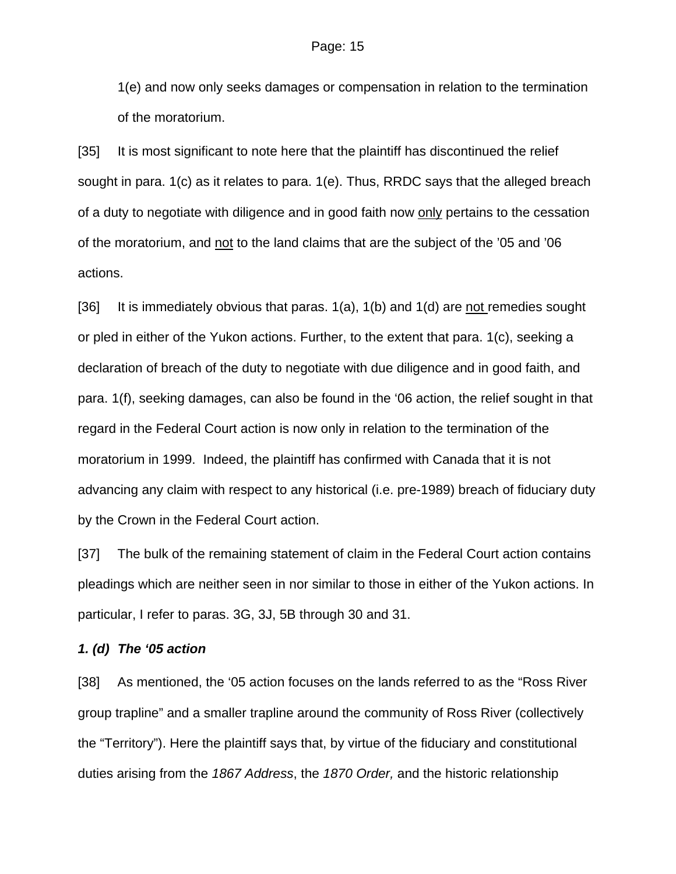1(e) and now only seeks damages or compensation in relation to the termination of the moratorium.

[35] It is most significant to note here that the plaintiff has discontinued the relief sought in para. 1(c) as it relates to para. 1(e). Thus, RRDC says that the alleged breach of a duty to negotiate with diligence and in good faith now only pertains to the cessation of the moratorium, and not to the land claims that are the subject of the '05 and '06 actions.

[36] It is immediately obvious that paras. 1(a), 1(b) and 1(d) are not remedies sought or pled in either of the Yukon actions. Further, to the extent that para. 1(c), seeking a declaration of breach of the duty to negotiate with due diligence and in good faith, and para. 1(f), seeking damages, can also be found in the '06 action, the relief sought in that regard in the Federal Court action is now only in relation to the termination of the moratorium in 1999. Indeed, the plaintiff has confirmed with Canada that it is not advancing any claim with respect to any historical (i.e. pre-1989) breach of fiduciary duty by the Crown in the Federal Court action.

[37] The bulk of the remaining statement of claim in the Federal Court action contains pleadings which are neither seen in nor similar to those in either of the Yukon actions. In particular, I refer to paras. 3G, 3J, 5B through 30 and 31.

## *1. (d) The '05 action*

[38] As mentioned, the '05 action focuses on the lands referred to as the "Ross River group trapline" and a smaller trapline around the community of Ross River (collectively the "Territory"). Here the plaintiff says that, by virtue of the fiduciary and constitutional duties arising from the *1867 Address*, the *1870 Order,* and the historic relationship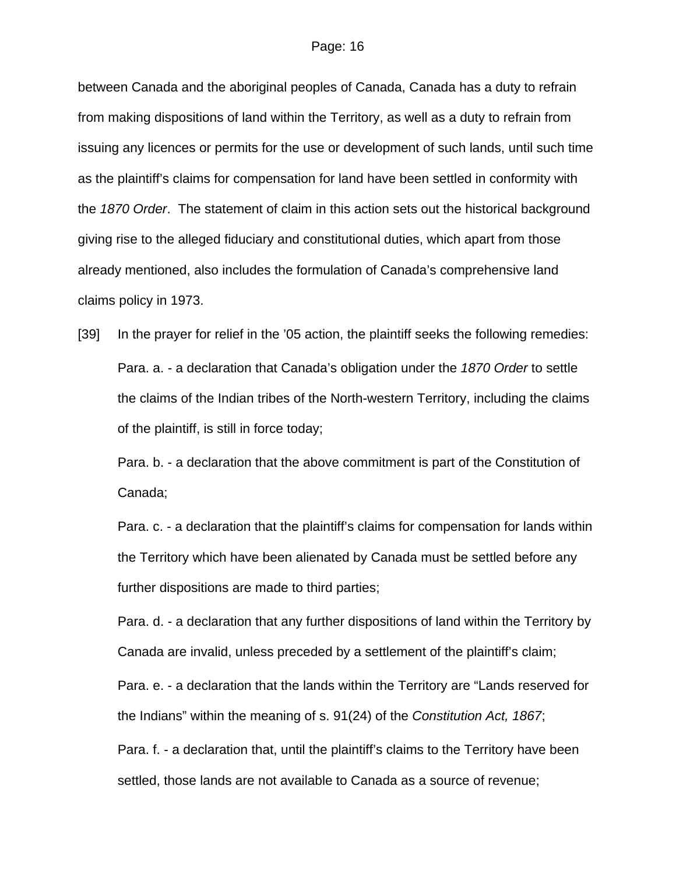between Canada and the aboriginal peoples of Canada, Canada has a duty to refrain from making dispositions of land within the Territory, as well as a duty to refrain from issuing any licences or permits for the use or development of such lands, until such time as the plaintiff's claims for compensation for land have been settled in conformity with the *1870 Order*. The statement of claim in this action sets out the historical background giving rise to the alleged fiduciary and constitutional duties, which apart from those already mentioned, also includes the formulation of Canada's comprehensive land claims policy in 1973.

[39] In the prayer for relief in the '05 action, the plaintiff seeks the following remedies: Para. a. - a declaration that Canada's obligation under the *1870 Order* to settle the claims of the Indian tribes of the North-western Territory, including the claims of the plaintiff, is still in force today;

Para. b. - a declaration that the above commitment is part of the Constitution of Canada;

Para. c. - a declaration that the plaintiff's claims for compensation for lands within the Territory which have been alienated by Canada must be settled before any further dispositions are made to third parties;

Para. d. - a declaration that any further dispositions of land within the Territory by Canada are invalid, unless preceded by a settlement of the plaintiff's claim;

Para. e. - a declaration that the lands within the Territory are "Lands reserved for the Indians" within the meaning of s. 91(24) of the *Constitution Act, 1867*;

Para. f. - a declaration that, until the plaintiff's claims to the Territory have been settled, those lands are not available to Canada as a source of revenue;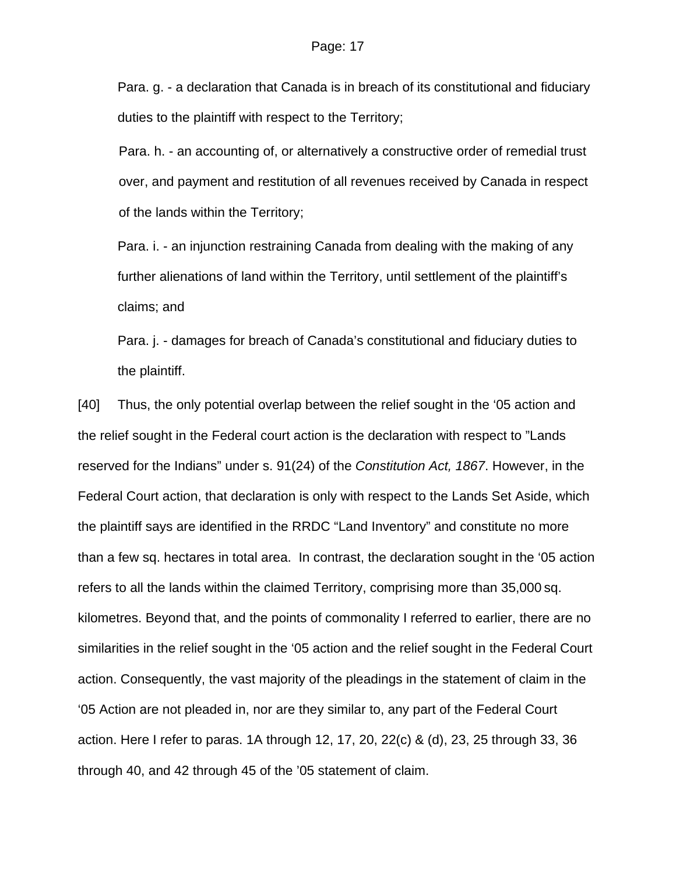Para. g. - a declaration that Canada is in breach of its constitutional and fiduciary duties to the plaintiff with respect to the Territory;

Para. h. - an accounting of, or alternatively a constructive order of remedial trust over, and payment and restitution of all revenues received by Canada in respect of the lands within the Territory;

Para. i. - an injunction restraining Canada from dealing with the making of any further alienations of land within the Territory, until settlement of the plaintiff's claims; and

Para. j. - damages for breach of Canada's constitutional and fiduciary duties to the plaintiff.

[40] Thus, the only potential overlap between the relief sought in the '05 action and the relief sought in the Federal court action is the declaration with respect to "Lands reserved for the Indians" under s. 91(24) of the *Constitution Act, 1867*. However, in the Federal Court action, that declaration is only with respect to the Lands Set Aside, which the plaintiff says are identified in the RRDC "Land Inventory" and constitute no more than a few sq. hectares in total area. In contrast, the declaration sought in the '05 action refers to all the lands within the claimed Territory, comprising more than 35,000 sq. kilometres. Beyond that, and the points of commonality I referred to earlier, there are no similarities in the relief sought in the '05 action and the relief sought in the Federal Court action. Consequently, the vast majority of the pleadings in the statement of claim in the '05 Action are not pleaded in, nor are they similar to, any part of the Federal Court action. Here I refer to paras. 1A through 12, 17, 20, 22(c) & (d), 23, 25 through 33, 36 through 40, and 42 through 45 of the '05 statement of claim.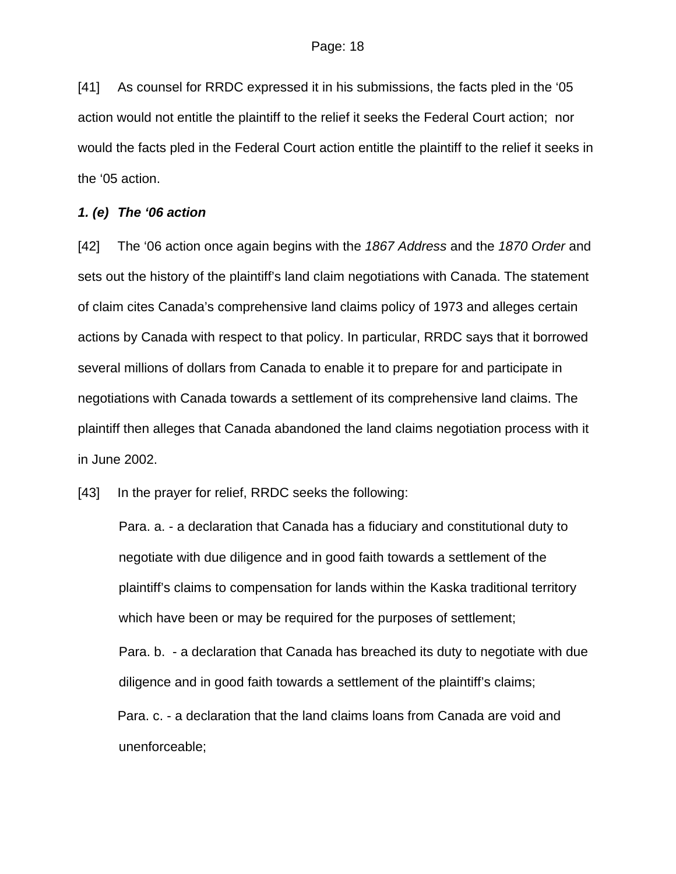[41] As counsel for RRDC expressed it in his submissions, the facts pled in the '05 action would not entitle the plaintiff to the relief it seeks the Federal Court action; nor would the facts pled in the Federal Court action entitle the plaintiff to the relief it seeks in the '05 action.

## *1. (e) The '06 action*

[42] The '06 action once again begins with the *1867 Address* and the *1870 Order* and sets out the history of the plaintiff's land claim negotiations with Canada. The statement of claim cites Canada's comprehensive land claims policy of 1973 and alleges certain actions by Canada with respect to that policy. In particular, RRDC says that it borrowed several millions of dollars from Canada to enable it to prepare for and participate in negotiations with Canada towards a settlement of its comprehensive land claims. The plaintiff then alleges that Canada abandoned the land claims negotiation process with it in June 2002.

[43] In the prayer for relief, RRDC seeks the following:

Para. a. - a declaration that Canada has a fiduciary and constitutional duty to negotiate with due diligence and in good faith towards a settlement of the plaintiff's claims to compensation for lands within the Kaska traditional territory which have been or may be required for the purposes of settlement;

Para. b. - a declaration that Canada has breached its duty to negotiate with due diligence and in good faith towards a settlement of the plaintiff's claims;

Para. c. - a declaration that the land claims loans from Canada are void and unenforceable;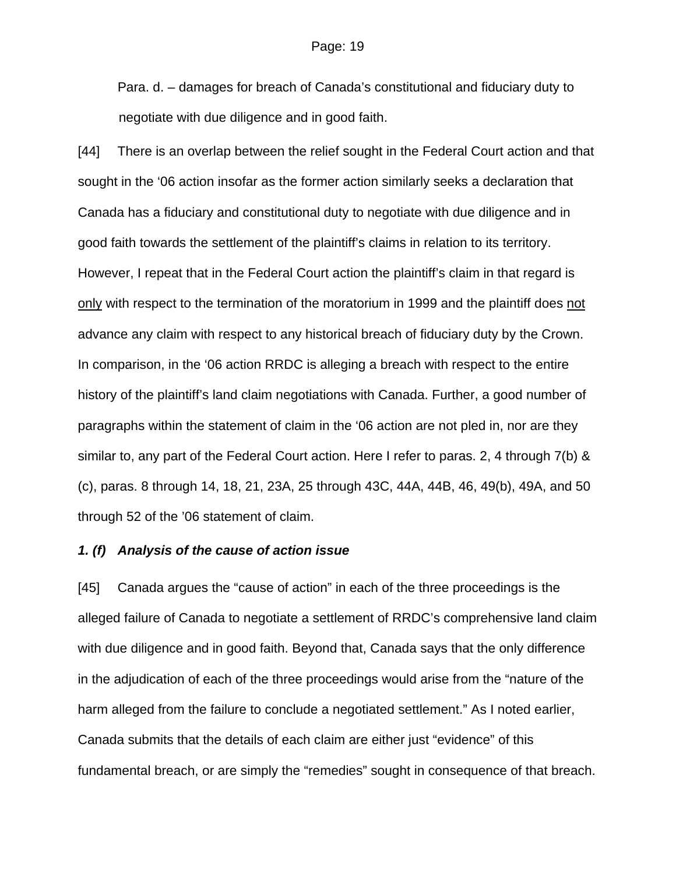Para. d. – damages for breach of Canada's constitutional and fiduciary duty to negotiate with due diligence and in good faith.

[44] There is an overlap between the relief sought in the Federal Court action and that sought in the '06 action insofar as the former action similarly seeks a declaration that Canada has a fiduciary and constitutional duty to negotiate with due diligence and in good faith towards the settlement of the plaintiff's claims in relation to its territory. However, I repeat that in the Federal Court action the plaintiff's claim in that regard is only with respect to the termination of the moratorium in 1999 and the plaintiff does not advance any claim with respect to any historical breach of fiduciary duty by the Crown. In comparison, in the '06 action RRDC is alleging a breach with respect to the entire history of the plaintiff's land claim negotiations with Canada. Further, a good number of paragraphs within the statement of claim in the '06 action are not pled in, nor are they similar to, any part of the Federal Court action. Here I refer to paras. 2, 4 through 7(b) & (c), paras. 8 through 14, 18, 21, 23A, 25 through 43C, 44A, 44B, 46, 49(b), 49A, and 50 through 52 of the '06 statement of claim.

#### *1. (f) Analysis of the cause of action issue*

[45] Canada argues the "cause of action" in each of the three proceedings is the alleged failure of Canada to negotiate a settlement of RRDC's comprehensive land claim with due diligence and in good faith. Beyond that, Canada says that the only difference in the adjudication of each of the three proceedings would arise from the "nature of the harm alleged from the failure to conclude a negotiated settlement." As I noted earlier, Canada submits that the details of each claim are either just "evidence" of this fundamental breach, or are simply the "remedies" sought in consequence of that breach.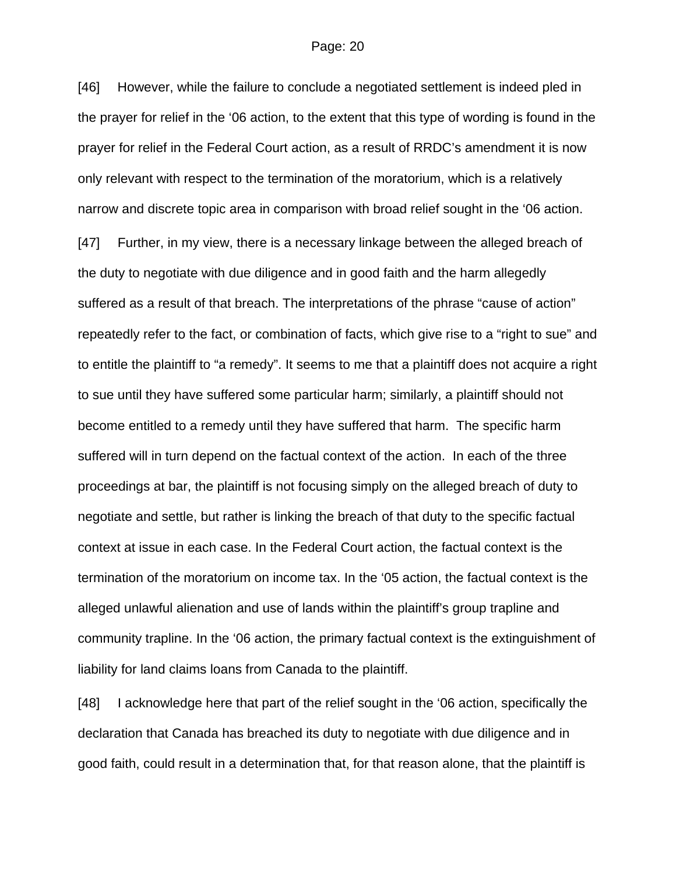[46] However, while the failure to conclude a negotiated settlement is indeed pled in the prayer for relief in the '06 action, to the extent that this type of wording is found in the prayer for relief in the Federal Court action, as a result of RRDC's amendment it is now only relevant with respect to the termination of the moratorium, which is a relatively narrow and discrete topic area in comparison with broad relief sought in the '06 action.

[47] Further, in my view, there is a necessary linkage between the alleged breach of the duty to negotiate with due diligence and in good faith and the harm allegedly suffered as a result of that breach. The interpretations of the phrase "cause of action" repeatedly refer to the fact, or combination of facts, which give rise to a "right to sue" and to entitle the plaintiff to "a remedy". It seems to me that a plaintiff does not acquire a right to sue until they have suffered some particular harm; similarly, a plaintiff should not become entitled to a remedy until they have suffered that harm. The specific harm suffered will in turn depend on the factual context of the action. In each of the three proceedings at bar, the plaintiff is not focusing simply on the alleged breach of duty to negotiate and settle, but rather is linking the breach of that duty to the specific factual context at issue in each case. In the Federal Court action, the factual context is the termination of the moratorium on income tax. In the '05 action, the factual context is the alleged unlawful alienation and use of lands within the plaintiff's group trapline and community trapline. In the '06 action, the primary factual context is the extinguishment of liability for land claims loans from Canada to the plaintiff.

[48] I acknowledge here that part of the relief sought in the '06 action, specifically the declaration that Canada has breached its duty to negotiate with due diligence and in good faith, could result in a determination that, for that reason alone, that the plaintiff is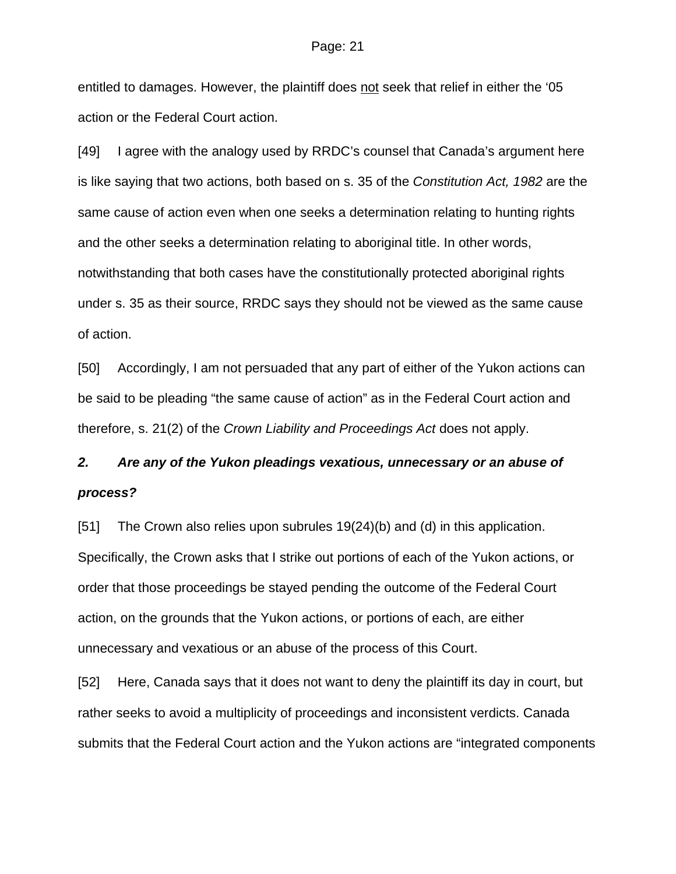#### Page: 21

entitled to damages. However, the plaintiff does not seek that relief in either the '05 action or the Federal Court action.

[49] I agree with the analogy used by RRDC's counsel that Canada's argument here is like saying that two actions, both based on s. 35 of the *Constitution Act, 1982* are the same cause of action even when one seeks a determination relating to hunting rights and the other seeks a determination relating to aboriginal title. In other words, notwithstanding that both cases have the constitutionally protected aboriginal rights under s. 35 as their source, RRDC says they should not be viewed as the same cause of action.

[50] Accordingly, I am not persuaded that any part of either of the Yukon actions can be said to be pleading "the same cause of action" as in the Federal Court action and therefore, s. 21(2) of the *Crown Liability and Proceedings Act* does not apply.

# *2. Are any of the Yukon pleadings vexatious, unnecessary or an abuse of process?*

[51] The Crown also relies upon subrules 19(24)(b) and (d) in this application. Specifically, the Crown asks that I strike out portions of each of the Yukon actions, or order that those proceedings be stayed pending the outcome of the Federal Court action, on the grounds that the Yukon actions, or portions of each, are either unnecessary and vexatious or an abuse of the process of this Court.

[52] Here, Canada says that it does not want to deny the plaintiff its day in court, but rather seeks to avoid a multiplicity of proceedings and inconsistent verdicts. Canada submits that the Federal Court action and the Yukon actions are "integrated components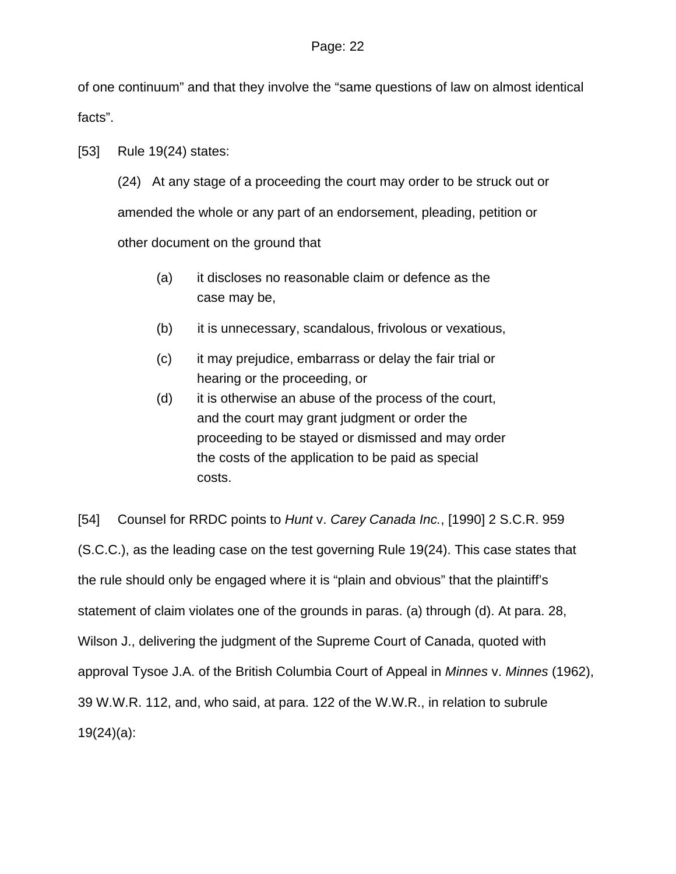of one continuum" and that they involve the "same questions of law on almost identical facts".

[53] Rule 19(24) states:

(24) At any stage of a proceeding the court may order to be struck out or amended the whole or any part of an endorsement, pleading, petition or other document on the ground that

- (a) it discloses no reasonable claim or defence as the case may be,
- (b) it is unnecessary, scandalous, frivolous or vexatious,
- (c) it may prejudice, embarrass or delay the fair trial or hearing or the proceeding, or
- (d) it is otherwise an abuse of the process of the court, and the court may grant judgment or order the proceeding to be stayed or dismissed and may order the costs of the application to be paid as special costs.

[54] Counsel for RRDC points to *Hunt* v. *Carey Canada Inc.*, [1990] 2 S.C.R. 959 (S.C.C.), as the leading case on the test governing Rule 19(24). This case states that the rule should only be engaged where it is "plain and obvious" that the plaintiff's statement of claim violates one of the grounds in paras. (a) through (d). At para. 28, Wilson J., delivering the judgment of the Supreme Court of Canada, quoted with approval Tysoe J.A. of the British Columbia Court of Appeal in *Minnes* v. *Minnes* (1962), 39 W.W.R. 112, and, who said, at para. 122 of the W.W.R., in relation to subrule 19(24)(a):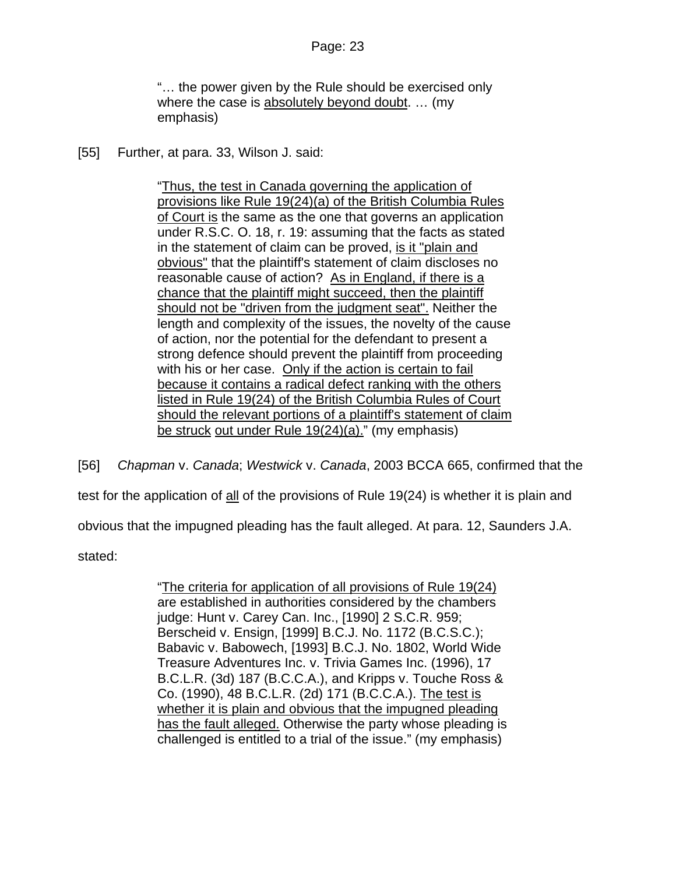"… the power given by the Rule should be exercised only where the case is absolutely beyond doubt. ... (my emphasis)

[55] Further, at para. 33, Wilson J. said:

"Thus, the test in Canada governing the application of provisions like Rule 19(24)(a) of the British Columbia Rules of Court is the same as the one that governs an application under R.S.C. O. 18, r. 19: assuming that the facts as stated in the statement of claim can be proved, is it "plain and obvious" that the plaintiff's statement of claim discloses no reasonable cause of action? As in England, if there is a chance that the plaintiff might succeed, then the plaintiff should not be "driven from the judgment seat". Neither the length and complexity of the issues, the novelty of the cause of action, nor the potential for the defendant to present a strong defence should prevent the plaintiff from proceeding with his or her case. Only if the action is certain to fail because it contains a radical defect ranking with the others listed in Rule 19(24) of the British Columbia Rules of Court should the relevant portions of a plaintiff's statement of claim be struck out under Rule 19(24)(a)." (my emphasis)

[56] *Chapman* v. *Canada*; *Westwick* v. *Canada*, 2003 BCCA 665, confirmed that the test for the application of all of the provisions of Rule 19(24) is whether it is plain and obvious that the impugned pleading has the fault alleged. At para. 12, Saunders J.A. stated:

> "The criteria for application of all provisions of Rule 19(24) are established in authorities considered by the chambers judge: Hunt v. Carey Can. Inc., [\[1990\] 2 S.C.R. 959](http://ql.quicklaw.com/servlet/qlwbic.qlwbi?qlsid=C2dOwlMTYDZMTxcs&qlcid=00002&qlvrb=QL002&UGET=Q0114419,SCR%20); Berscheid v. Ensign, [\[1999\] B.C.J. No. 1172](http://ql.quicklaw.com/servlet/qlwbic.qlwbi?qlsid=C2dOwlMTYDZMTxcs&qlcid=00002&qlvrb=QL002&UGET=Q0349970,BCJ%20) (B.C.S.C.); Babavic v. Babowech, [\[1993\] B.C.J. No. 1802](http://ql.quicklaw.com/servlet/qlwbic.qlwbi?qlsid=C2dOwlMTYDZMTxcs&qlcid=00002&qlvrb=QL002&UGET=Q0232986,BCJ%20), World Wide Treasure Adventures Inc. v. Trivia Games Inc. (1996), [17](http://ql.quicklaw.com/servlet/qlwbic.qlwbi?qlsid=C2dOwlMTYDZMTxcs&qlcid=00002&qlvrb=QL002&UGET=Q0264733,BCJR)  [B.C.L.R. \(3d\) 187](http://ql.quicklaw.com/servlet/qlwbic.qlwbi?qlsid=C2dOwlMTYDZMTxcs&qlcid=00002&qlvrb=QL002&UGET=Q0264733,BCJR) (B.C.C.A.), and Kripps v. Touche Ross & Co. (1990), [48 B.C.L.R. \(2d\) 171](http://ql.quicklaw.com/servlet/qlwbic.qlwbi?qlsid=C2dOwlMTYDZMTxcs&qlcid=00002&qlvrb=QL002&UGET=Q0124943,BCJR) (B.C.C.A.). The test is whether it is plain and obvious that the impugned pleading has the fault alleged. Otherwise the party whose pleading is challenged is entitled to a trial of the issue." (my emphasis)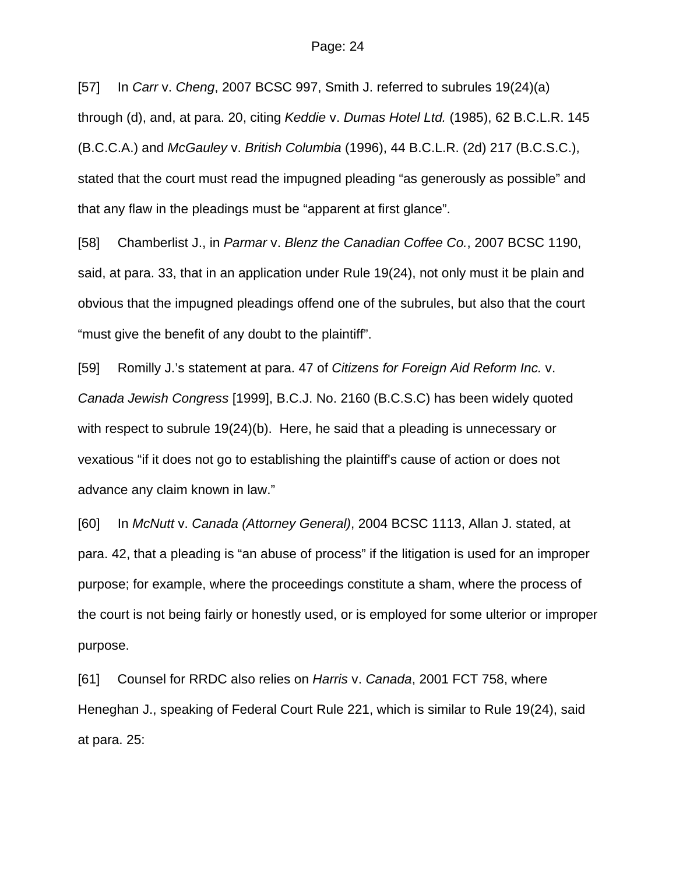[57] In *Carr* v. *Cheng*, 2007 BCSC 997, Smith J. referred to subrules 19(24)(a) through (d), and, at para. 20, citing *Keddie* v. *Dumas Hotel Ltd.* (1985), 62 B.C.L.R. 145 (B.C.C.A.) and *McGauley* v. *British Columbia* (1996), 44 B.C.L.R. (2d) 217 (B.C.S.C.), stated that the court must read the impugned pleading "as generously as possible" and that any flaw in the pleadings must be "apparent at first glance".

[58] Chamberlist J., in *Parmar* v. *Blenz the Canadian Coffee Co.*, 2007 BCSC 1190, said, at para. 33, that in an application under Rule 19(24), not only must it be plain and obvious that the impugned pleadings offend one of the subrules, but also that the court "must give the benefit of any doubt to the plaintiff".

[59] Romilly J.'s statement at para. 47 of *Citizens for Foreign Aid Reform Inc.* v. *Canada Jewish Congress* [1999], B.C.J. No. 2160 (B.C.S.C) has been widely quoted with respect to subrule 19(24)(b). Here, he said that a pleading is unnecessary or vexatious "if it does not go to establishing the plaintiff's cause of action or does not advance any claim known in law."

[60] In *McNutt* v. *Canada (Attorney General)*, 2004 BCSC 1113, Allan J. stated, at para. 42, that a pleading is "an abuse of process" if the litigation is used for an improper purpose; for example, where the proceedings constitute a sham, where the process of the court is not being fairly or honestly used, or is employed for some ulterior or improper purpose.

[61] Counsel for RRDC also relies on *Harris* v. *Canada*, 2001 FCT 758, where Heneghan J., speaking of Federal Court Rule 221, which is similar to Rule 19(24), said at para. 25: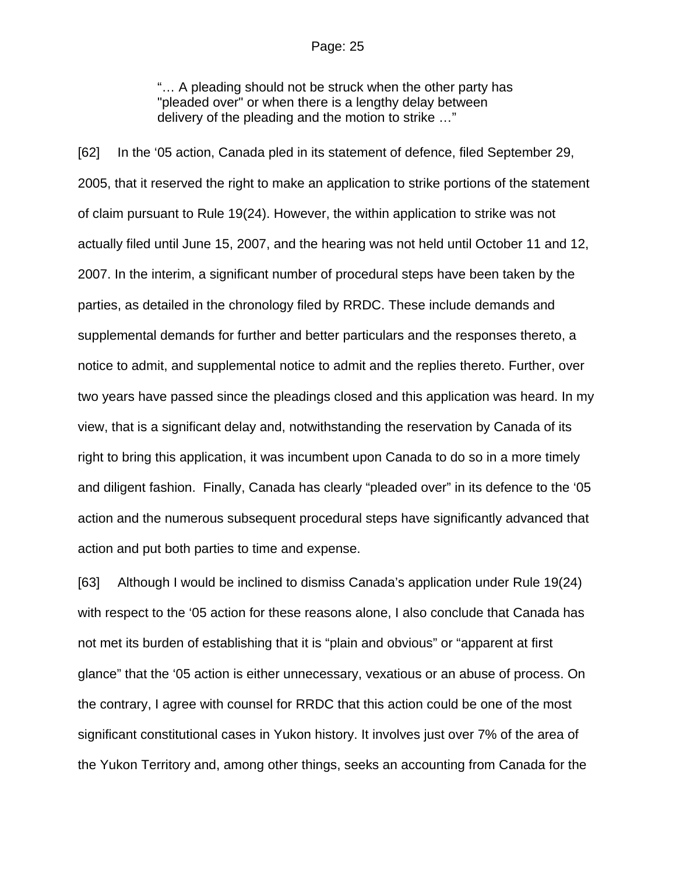"… A pleading should not be struck when the other party has "pleaded over" or when there is a lengthy delay between delivery of the pleading and the motion to strike …"

[62] In the '05 action, Canada pled in its statement of defence, filed September 29, 2005, that it reserved the right to make an application to strike portions of the statement of claim pursuant to Rule 19(24). However, the within application to strike was not actually filed until June 15, 2007, and the hearing was not held until October 11 and 12, 2007. In the interim, a significant number of procedural steps have been taken by the parties, as detailed in the chronology filed by RRDC. These include demands and supplemental demands for further and better particulars and the responses thereto, a notice to admit, and supplemental notice to admit and the replies thereto. Further, over two years have passed since the pleadings closed and this application was heard. In my view, that is a significant delay and, notwithstanding the reservation by Canada of its right to bring this application, it was incumbent upon Canada to do so in a more timely and diligent fashion. Finally, Canada has clearly "pleaded over" in its defence to the '05 action and the numerous subsequent procedural steps have significantly advanced that action and put both parties to time and expense.

[63] Although I would be inclined to dismiss Canada's application under Rule 19(24) with respect to the '05 action for these reasons alone, I also conclude that Canada has not met its burden of establishing that it is "plain and obvious" or "apparent at first glance" that the '05 action is either unnecessary, vexatious or an abuse of process. On the contrary, I agree with counsel for RRDC that this action could be one of the most significant constitutional cases in Yukon history. It involves just over 7% of the area of the Yukon Territory and, among other things, seeks an accounting from Canada for the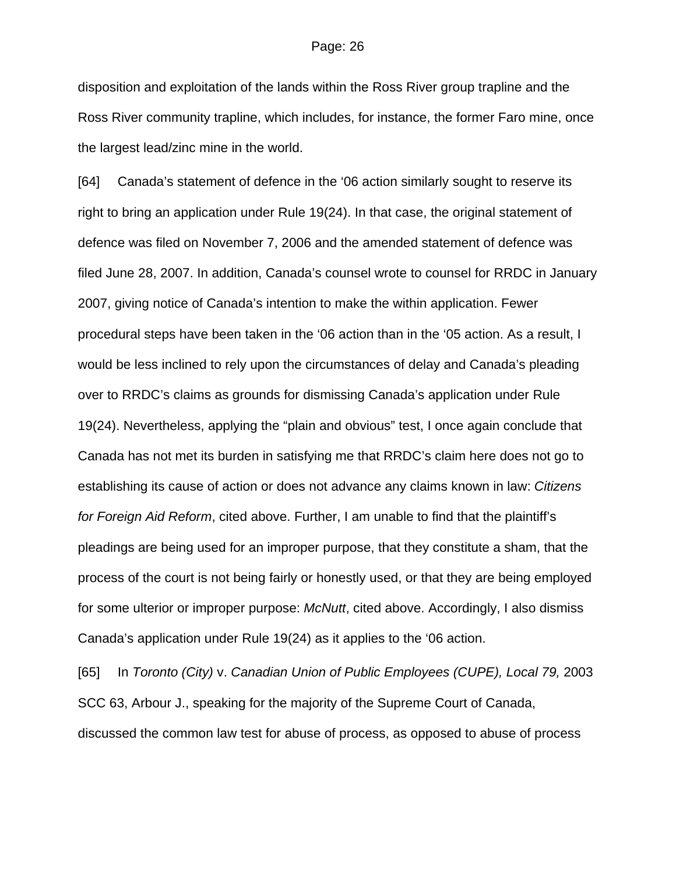disposition and exploitation of the lands within the Ross River group trapline and the Ross River community trapline, which includes, for instance, the former Faro mine, once the largest lead/zinc mine in the world.

[64] Canada's statement of defence in the '06 action similarly sought to reserve its right to bring an application under Rule 19(24). In that case, the original statement of defence was filed on November 7, 2006 and the amended statement of defence was filed June 28, 2007. In addition, Canada's counsel wrote to counsel for RRDC in January 2007, giving notice of Canada's intention to make the within application. Fewer procedural steps have been taken in the '06 action than in the '05 action. As a result, I would be less inclined to rely upon the circumstances of delay and Canada's pleading over to RRDC's claims as grounds for dismissing Canada's application under Rule 19(24). Nevertheless, applying the "plain and obvious" test, I once again conclude that Canada has not met its burden in satisfying me that RRDC's claim here does not go to establishing its cause of action or does not advance any claims known in law: *Citizens for Foreign Aid Reform*, cited above. Further, I am unable to find that the plaintiff's pleadings are being used for an improper purpose, that they constitute a sham, that the process of the court is not being fairly or honestly used, or that they are being employed for some ulterior or improper purpose: *McNutt*, cited above. Accordingly, I also dismiss Canada's application under Rule 19(24) as it applies to the '06 action.

[65] In *Toronto (City)* v. *Canadian Union of Public Employees (CUPE), Local 79,* 2003 SCC 63, Arbour J., speaking for the majority of the Supreme Court of Canada, discussed the common law test for abuse of process, as opposed to abuse of process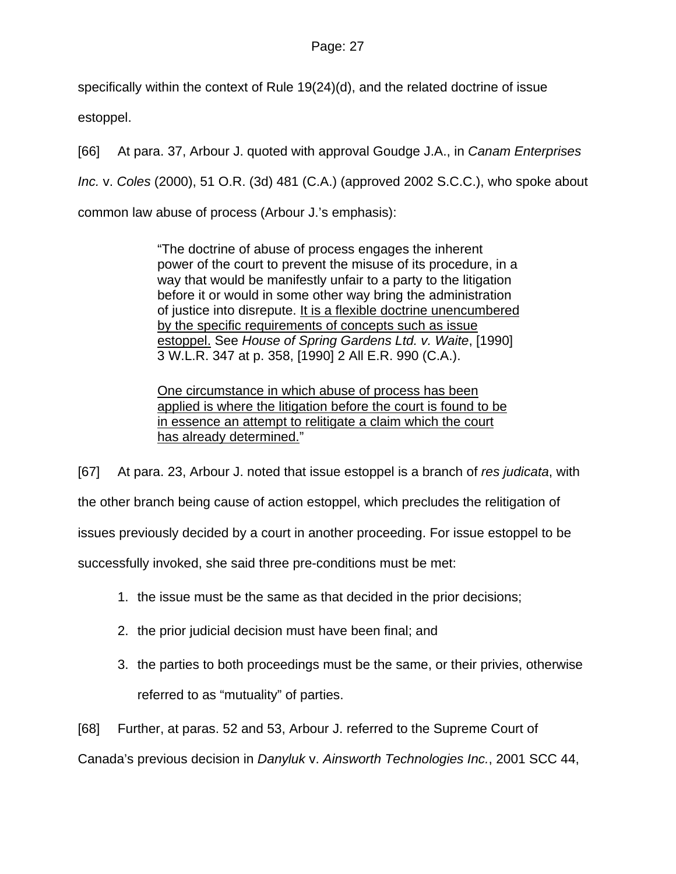specifically within the context of Rule 19(24)(d), and the related doctrine of issue estoppel.

[66] At para. 37, Arbour J. quoted with approval Goudge J.A., in *Canam Enterprises Inc.* v. *Coles* (2000), 51 O.R. (3d) 481 (C.A.) (approved 2002 S.C.C.), who spoke about common law abuse of process (Arbour J.'s emphasis):

> "The doctrine of abuse of process engages the inherent power of the court to prevent the misuse of its procedure, in a way that would be manifestly unfair to a party to the litigation before it or would in some other way bring the administration of justice into disrepute. It is a flexible doctrine unencumbered by the specific requirements of concepts such as issue estoppel. See *House of Spring Gardens Ltd. v. Waite*, [1990] 3 W.L.R. 347 at p. 358, [1990] 2 All E.R. 990 (C.A.).

One circumstance in which abuse of process has been applied is where the litigation before the court is found to be in essence an attempt to relitigate a claim which the court has already determined."

[67] At para. 23, Arbour J. noted that issue estoppel is a branch of *res judicata*, with the other branch being cause of action estoppel, which precludes the relitigation of issues previously decided by a court in another proceeding. For issue estoppel to be successfully invoked, she said three pre-conditions must be met:

- 1. the issue must be the same as that decided in the prior decisions;
- 2. the prior judicial decision must have been final; and
- 3. the parties to both proceedings must be the same, or their privies, otherwise referred to as "mutuality" of parties.

[68] Further, at paras. 52 and 53, Arbour J. referred to the Supreme Court of

Canada's previous decision in *Danyluk* v. *Ainsworth Technologies Inc.*, 2001 SCC 44,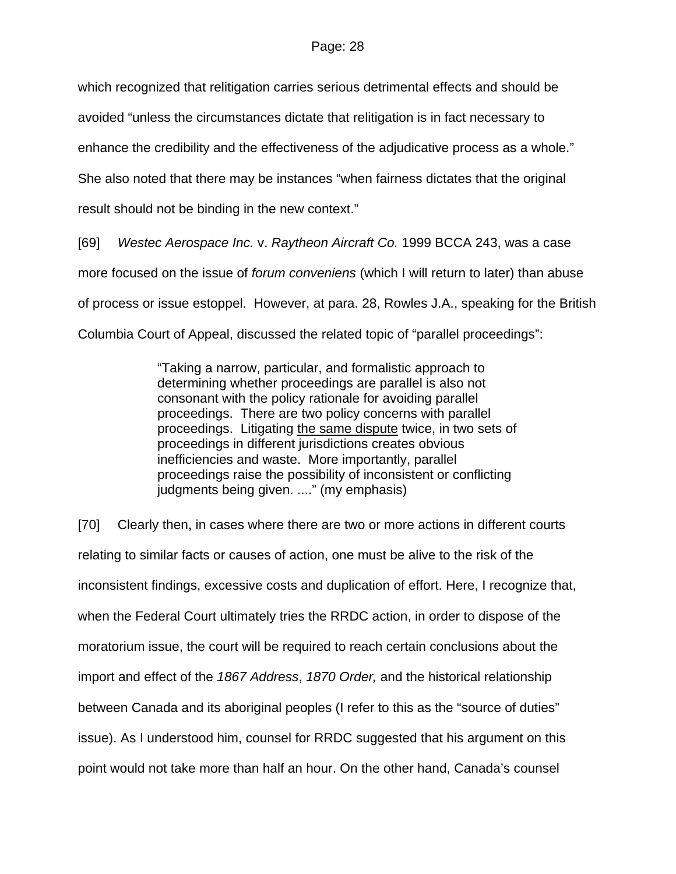which recognized that relitigation carries serious detrimental effects and should be

avoided "unless the circumstances dictate that relitigation is in fact necessary to

enhance the credibility and the effectiveness of the adjudicative process as a whole."

She also noted that there may be instances "when fairness dictates that the original

result should not be binding in the new context."

[69] *Westec Aerospace Inc.* v. *Raytheon Aircraft Co.* 1999 BCCA 243, was a case more focused on the issue of *forum conveniens* (which I will return to later) than abuse of process or issue estoppel. However, at para. 28, Rowles J.A., speaking for the British Columbia Court of Appeal, discussed the related topic of "parallel proceedings":

> "Taking a narrow, particular, and formalistic approach to determining whether proceedings are parallel is also not consonant with the policy rationale for avoiding parallel proceedings. There are two policy concerns with parallel proceedings. Litigating the same dispute twice, in two sets of proceedings in different jurisdictions creates obvious inefficiencies and waste. More importantly, parallel proceedings raise the possibility of inconsistent or conflicting judgments being given. ...." (my emphasis)

[70] Clearly then, in cases where there are two or more actions in different courts relating to similar facts or causes of action, one must be alive to the risk of the inconsistent findings, excessive costs and duplication of effort. Here, I recognize that, when the Federal Court ultimately tries the RRDC action, in order to dispose of the moratorium issue, the court will be required to reach certain conclusions about the import and effect of the *1867 Address*, *1870 Order,* and the historical relationship between Canada and its aboriginal peoples (I refer to this as the "source of duties" issue). As I understood him, counsel for RRDC suggested that his argument on this point would not take more than half an hour. On the other hand, Canada's counsel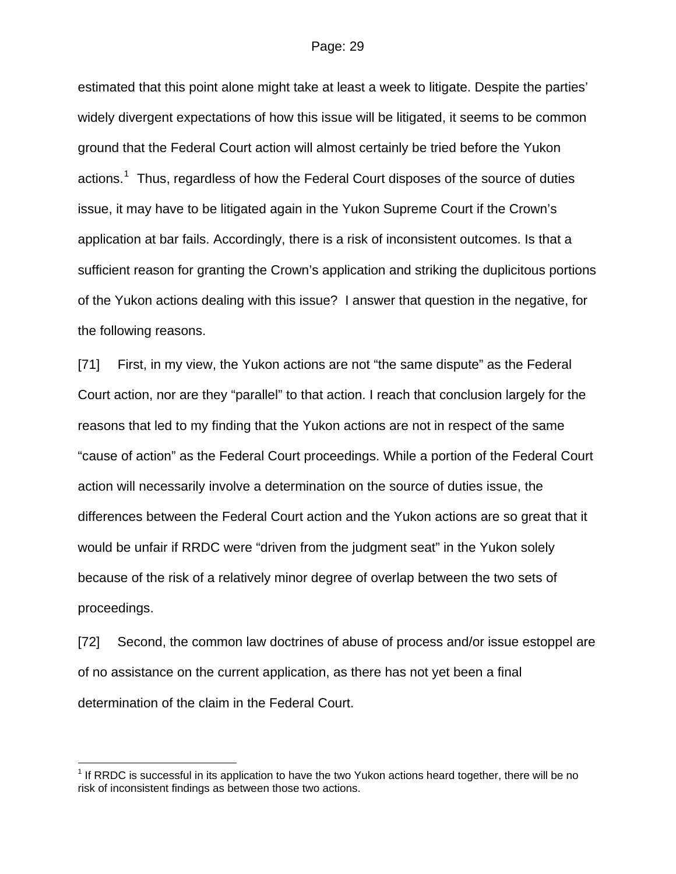estimated that this point alone might take at least a week to litigate. Despite the parties' widely divergent expectations of how this issue will be litigated, it seems to be common ground that the Federal Court action will almost certainly be tried before the Yukon actions.<sup>[1](#page-28-0)</sup> Thus, regardless of how the Federal Court disposes of the source of duties issue, it may have to be litigated again in the Yukon Supreme Court if the Crown's application at bar fails. Accordingly, there is a risk of inconsistent outcomes. Is that a sufficient reason for granting the Crown's application and striking the duplicitous portions of the Yukon actions dealing with this issue? I answer that question in the negative, for the following reasons.

[71] First, in my view, the Yukon actions are not "the same dispute" as the Federal Court action, nor are they "parallel" to that action. I reach that conclusion largely for the reasons that led to my finding that the Yukon actions are not in respect of the same "cause of action" as the Federal Court proceedings. While a portion of the Federal Court action will necessarily involve a determination on the source of duties issue, the differences between the Federal Court action and the Yukon actions are so great that it would be unfair if RRDC were "driven from the judgment seat" in the Yukon solely because of the risk of a relatively minor degree of overlap between the two sets of proceedings.

[72] Second, the common law doctrines of abuse of process and/or issue estoppel are of no assistance on the current application, as there has not yet been a final determination of the claim in the Federal Court.

l

<span id="page-28-0"></span> $1$  If RRDC is successful in its application to have the two Yukon actions heard together, there will be no risk of inconsistent findings as between those two actions.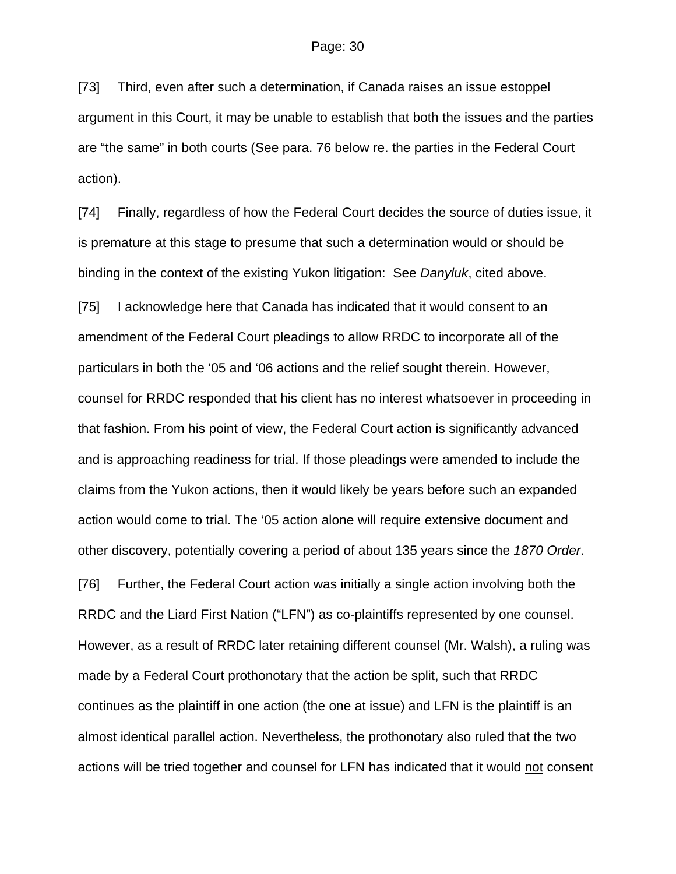[73] Third, even after such a determination, if Canada raises an issue estoppel argument in this Court, it may be unable to establish that both the issues and the parties are "the same" in both courts (See para. 76 below re. the parties in the Federal Court action).

[74] Finally, regardless of how the Federal Court decides the source of duties issue, it is premature at this stage to presume that such a determination would or should be binding in the context of the existing Yukon litigation: See *Danyluk*, cited above.

[75] I acknowledge here that Canada has indicated that it would consent to an amendment of the Federal Court pleadings to allow RRDC to incorporate all of the particulars in both the '05 and '06 actions and the relief sought therein. However, counsel for RRDC responded that his client has no interest whatsoever in proceeding in that fashion. From his point of view, the Federal Court action is significantly advanced and is approaching readiness for trial. If those pleadings were amended to include the claims from the Yukon actions, then it would likely be years before such an expanded action would come to trial. The '05 action alone will require extensive document and other discovery, potentially covering a period of about 135 years since the *1870 Order*.

[76] Further, the Federal Court action was initially a single action involving both the RRDC and the Liard First Nation ("LFN") as co-plaintiffs represented by one counsel. However, as a result of RRDC later retaining different counsel (Mr. Walsh), a ruling was made by a Federal Court prothonotary that the action be split, such that RRDC continues as the plaintiff in one action (the one at issue) and LFN is the plaintiff is an almost identical parallel action. Nevertheless, the prothonotary also ruled that the two actions will be tried together and counsel for LFN has indicated that it would not consent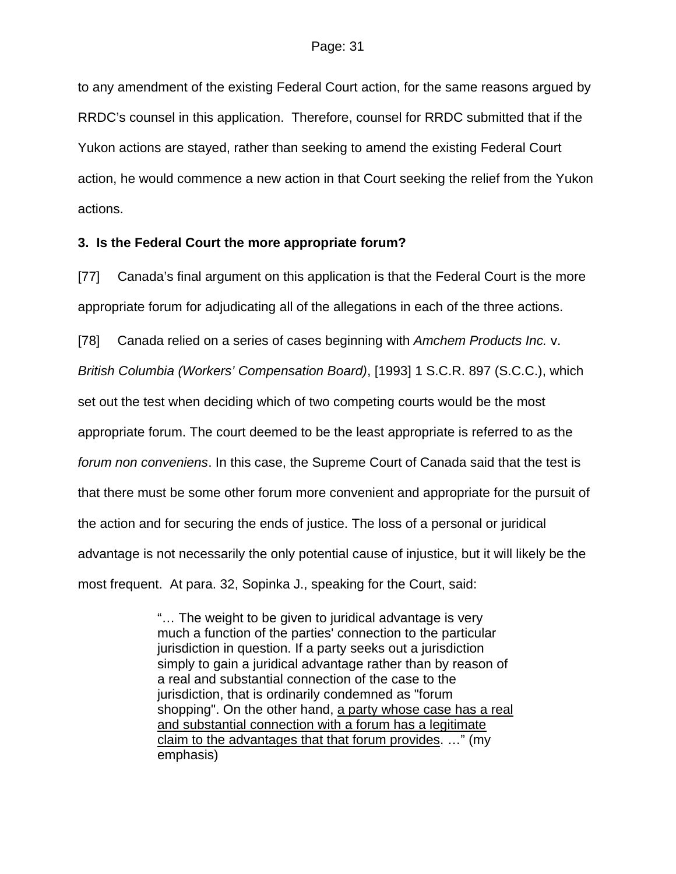to any amendment of the existing Federal Court action, for the same reasons argued by RRDC's counsel in this application. Therefore, counsel for RRDC submitted that if the Yukon actions are stayed, rather than seeking to amend the existing Federal Court action, he would commence a new action in that Court seeking the relief from the Yukon actions.

## **3. Is the Federal Court the more appropriate forum?**

[77] Canada's final argument on this application is that the Federal Court is the more appropriate forum for adjudicating all of the allegations in each of the three actions.

[78] Canada relied on a series of cases beginning with *Amchem Products Inc.* v.

*British Columbia (Workers' Compensation Board)*, [1993] 1 S.C.R. 897 (S.C.C.), which

set out the test when deciding which of two competing courts would be the most

appropriate forum. The court deemed to be the least appropriate is referred to as the

*forum non conveniens*. In this case, the Supreme Court of Canada said that the test is

that there must be some other forum more convenient and appropriate for the pursuit of

the action and for securing the ends of justice. The loss of a personal or juridical

advantage is not necessarily the only potential cause of injustice, but it will likely be the

most frequent. At para. 32, Sopinka J., speaking for the Court, said:

"… The weight to be given to juridical advantage is very much a function of the parties' connection to the particular jurisdiction in question. If a party seeks out a jurisdiction simply to gain a juridical advantage rather than by reason of a real and substantial connection of the case to the jurisdiction, that is ordinarily condemned as "forum shopping". On the other hand, a party whose case has a real and substantial connection with a forum has a legitimate claim to the advantages that that forum provides. …" (my emphasis)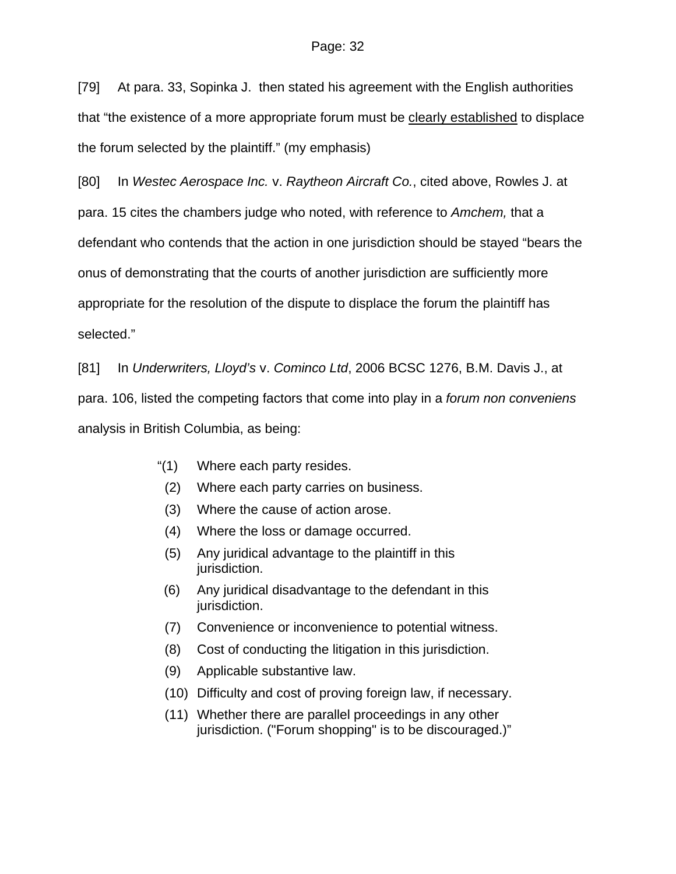[79] At para. 33, Sopinka J. then stated his agreement with the English authorities that "the existence of a more appropriate forum must be clearly established to displace the forum selected by the plaintiff." (my emphasis)

[80] In *Westec Aerospace Inc.* v. *Raytheon Aircraft Co.*, cited above, Rowles J. at para. 15 cites the chambers judge who noted, with reference to *Amchem,* that a defendant who contends that the action in one jurisdiction should be stayed "bears the onus of demonstrating that the courts of another jurisdiction are sufficiently more appropriate for the resolution of the dispute to displace the forum the plaintiff has selected."

[81] In *Underwriters, Lloyd's* v. *Cominco Ltd*, 2006 BCSC 1276, B.M. Davis J., at para. 106, listed the competing factors that come into play in a *forum non conveniens*  analysis in British Columbia, as being:

- "(1) Where each party resides.
- (2) Where each party carries on business.
- (3) Where the cause of action arose.
- (4) Where the loss or damage occurred.
- (5) Any juridical advantage to the plaintiff in this jurisdiction.
- (6) Any juridical disadvantage to the defendant in this jurisdiction.
- (7) Convenience or inconvenience to potential witness.
- (8) Cost of conducting the litigation in this jurisdiction.
- (9) Applicable substantive law.
- (10) Difficulty and cost of proving foreign law, if necessary.
- (11) Whether there are parallel proceedings in any other jurisdiction. ("Forum shopping" is to be discouraged.)"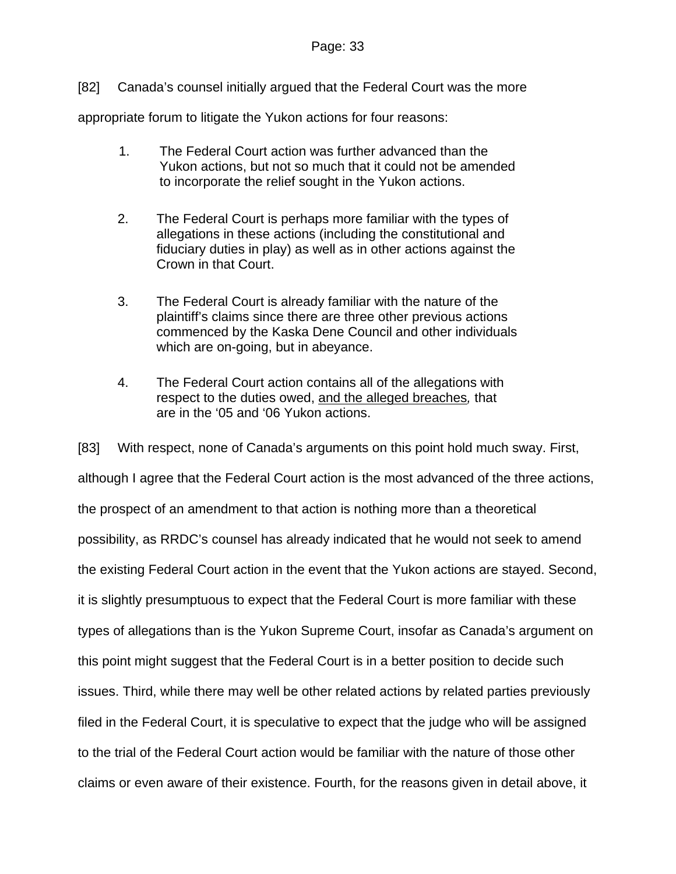## Page: 33

[82] Canada's counsel initially argued that the Federal Court was the more

appropriate forum to litigate the Yukon actions for four reasons:

- 1. The Federal Court action was further advanced than the Yukon actions, but not so much that it could not be amended to incorporate the relief sought in the Yukon actions.
- 2. The Federal Court is perhaps more familiar with the types of allegations in these actions (including the constitutional and fiduciary duties in play) as well as in other actions against the Crown in that Court.
- 3. The Federal Court is already familiar with the nature of the plaintiff's claims since there are three other previous actions commenced by the Kaska Dene Council and other individuals which are on-going, but in abeyance.
- 4. The Federal Court action contains all of the allegations with respect to the duties owed, and the alleged breaches*,* that are in the '05 and '06 Yukon actions.

[83] With respect, none of Canada's arguments on this point hold much sway. First, although I agree that the Federal Court action is the most advanced of the three actions, the prospect of an amendment to that action is nothing more than a theoretical possibility, as RRDC's counsel has already indicated that he would not seek to amend the existing Federal Court action in the event that the Yukon actions are stayed. Second, it is slightly presumptuous to expect that the Federal Court is more familiar with these types of allegations than is the Yukon Supreme Court, insofar as Canada's argument on this point might suggest that the Federal Court is in a better position to decide such issues. Third, while there may well be other related actions by related parties previously filed in the Federal Court, it is speculative to expect that the judge who will be assigned to the trial of the Federal Court action would be familiar with the nature of those other claims or even aware of their existence. Fourth, for the reasons given in detail above, it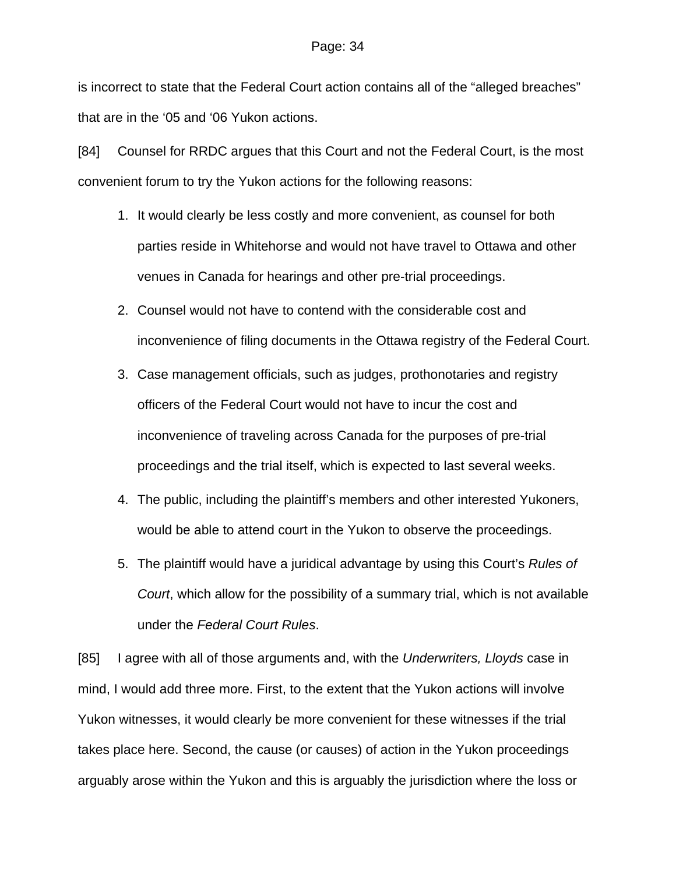is incorrect to state that the Federal Court action contains all of the "alleged breaches" that are in the '05 and '06 Yukon actions.

[84] Counsel for RRDC argues that this Court and not the Federal Court, is the most convenient forum to try the Yukon actions for the following reasons:

- 1. It would clearly be less costly and more convenient, as counsel for both parties reside in Whitehorse and would not have travel to Ottawa and other venues in Canada for hearings and other pre-trial proceedings.
- 2. Counsel would not have to contend with the considerable cost and inconvenience of filing documents in the Ottawa registry of the Federal Court.
- 3. Case management officials, such as judges, prothonotaries and registry officers of the Federal Court would not have to incur the cost and inconvenience of traveling across Canada for the purposes of pre-trial proceedings and the trial itself, which is expected to last several weeks.
- 4. The public, including the plaintiff's members and other interested Yukoners, would be able to attend court in the Yukon to observe the proceedings.
- 5. The plaintiff would have a juridical advantage by using this Court's *Rules of Court*, which allow for the possibility of a summary trial, which is not available under the *Federal Court Rules*.

[85] I agree with all of those arguments and, with the *Underwriters, Lloyds* case in mind, I would add three more. First, to the extent that the Yukon actions will involve Yukon witnesses, it would clearly be more convenient for these witnesses if the trial takes place here. Second, the cause (or causes) of action in the Yukon proceedings arguably arose within the Yukon and this is arguably the jurisdiction where the loss or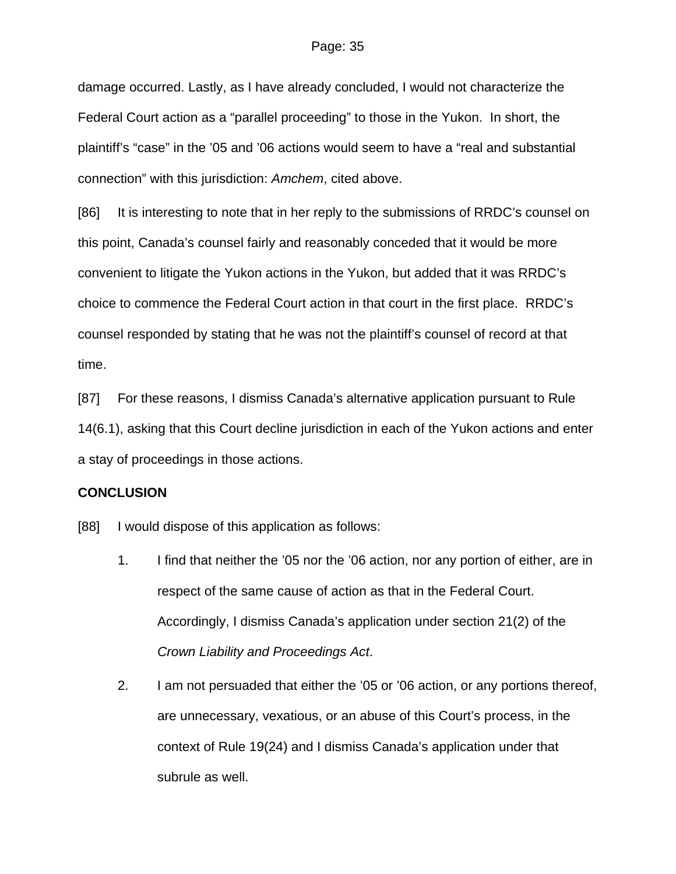damage occurred. Lastly, as I have already concluded, I would not characterize the Federal Court action as a "parallel proceeding" to those in the Yukon. In short, the plaintiff's "case" in the '05 and '06 actions would seem to have a "real and substantial connection" with this jurisdiction: *Amchem*, cited above.

[86] It is interesting to note that in her reply to the submissions of RRDC's counsel on this point, Canada's counsel fairly and reasonably conceded that it would be more convenient to litigate the Yukon actions in the Yukon, but added that it was RRDC's choice to commence the Federal Court action in that court in the first place. RRDC's counsel responded by stating that he was not the plaintiff's counsel of record at that time.

[87] For these reasons, I dismiss Canada's alternative application pursuant to Rule 14(6.1), asking that this Court decline jurisdiction in each of the Yukon actions and enter a stay of proceedings in those actions.

## **CONCLUSION**

[88] I would dispose of this application as follows:

- 1. I find that neither the '05 nor the '06 action, nor any portion of either, are in respect of the same cause of action as that in the Federal Court. Accordingly, I dismiss Canada's application under section 21(2) of the *Crown Liability and Proceedings Act*.
- 2. I am not persuaded that either the '05 or '06 action, or any portions thereof, are unnecessary, vexatious, or an abuse of this Court's process, in the context of Rule 19(24) and I dismiss Canada's application under that subrule as well.